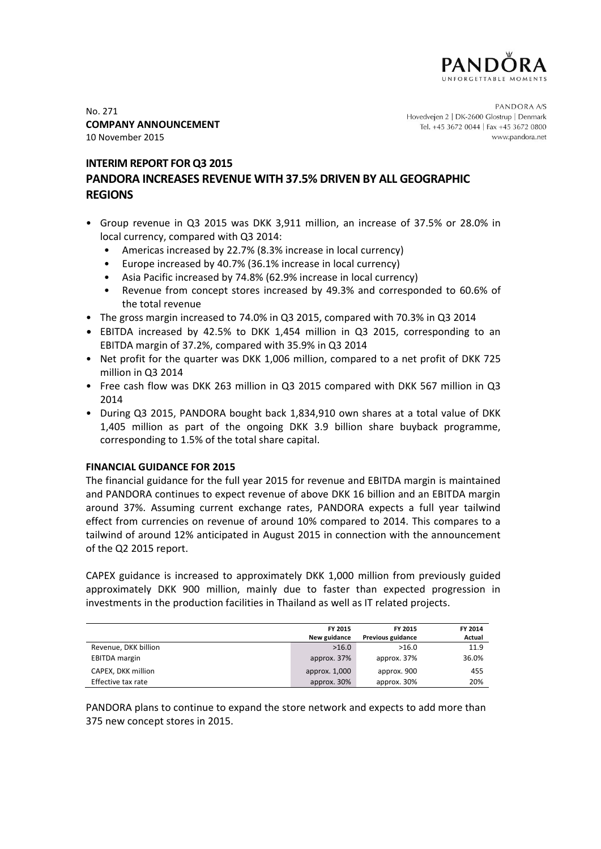

No. 271 **COMPANY ANNOUNCEMENT** 10 November 2015

PANDORA A/S Hovedvejen 2 | DK-2600 Glostrup | Denmark Tel. +45 3672 0044 | Fax +45 3672 0800 www.pandora.net

# **INTERIM REPORT FOR Q3 2015**

# **PANDORA INCREASES REVENUE WITH 37.5% DRIVEN BY ALL GEOGRAPHIC REGIONS**

- Group revenue in Q3 2015 was DKK 3,911 million, an increase of 37.5% or 28.0% in local currency, compared with Q3 2014:
	- Americas increased by 22.7% (8.3% increase in local currency)
	- Europe increased by 40.7% (36.1% increase in local currency)
	- Asia Pacific increased by 74.8% (62.9% increase in local currency)
	- Revenue from concept stores increased by 49.3% and corresponded to 60.6% of the total revenue
- The gross margin increased to 74.0% in Q3 2015, compared with 70.3% in Q3 2014
- EBITDA increased by 42.5% to DKK 1,454 million in Q3 2015, corresponding to an EBITDA margin of 37.2%, compared with 35.9% in Q3 2014
- Net profit for the quarter was DKK 1,006 million, compared to a net profit of DKK 725 million in Q3 2014
- Free cash flow was DKK 263 million in Q3 2015 compared with DKK 567 million in Q3 2014
- During Q3 2015, PANDORA bought back 1,834,910 own shares at a total value of DKK 1,405 million as part of the ongoing DKK 3.9 billion share buyback programme, corresponding to 1.5% of the total share capital.

# **FINANCIAL GUIDANCE FOR 2015**

The financial guidance for the full year 2015 for revenue and EBITDA margin is maintained and PANDORA continues to expect revenue of above DKK 16 billion and an EBITDA margin around 37%. Assuming current exchange rates, PANDORA expects a full year tailwind effect from currencies on revenue of around 10% compared to 2014. This compares to a tailwind of around 12% anticipated in August 2015 in connection with the announcement of the Q2 2015 report.

CAPEX guidance is increased to approximately DKK 1,000 million from previously guided approximately DKK 900 million, mainly due to faster than expected progression in investments in the production facilities in Thailand as well as IT related projects.

|                      | FY 2015       | FY 2015           | FY 2014 |
|----------------------|---------------|-------------------|---------|
|                      | New guidance  | Previous guidance | Actual  |
| Revenue, DKK billion | >16.0         | >16.0             | 11.9    |
| <b>EBITDA</b> margin | approx. 37%   | approx. 37%       | 36.0%   |
| CAPEX, DKK million   | approx. 1,000 | approx. 900       | 455     |
| Effective tax rate   | approx. 30%   | approx. 30%       | 20%     |

PANDORA plans to continue to expand the store network and expects to add more than 375 new concept stores in 2015.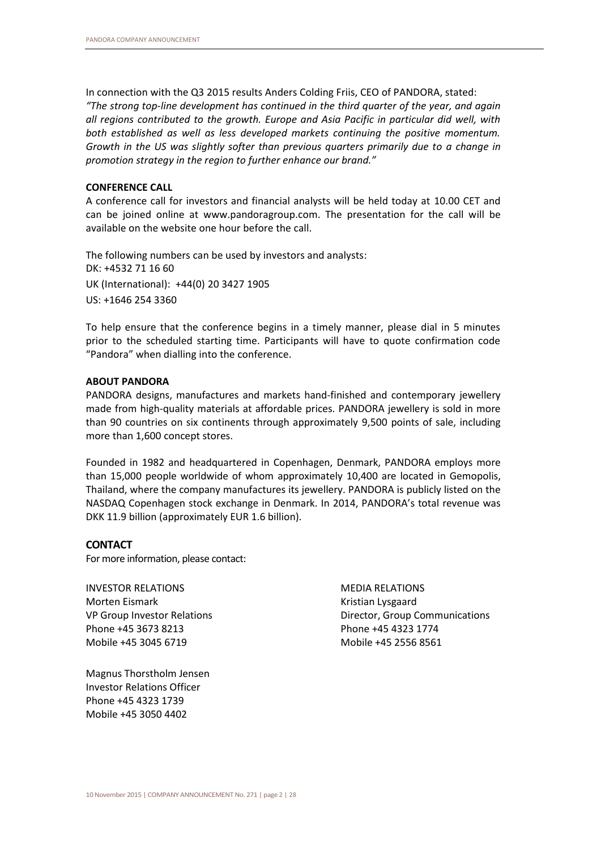In connection with the Q3 2015 results Anders Colding Friis, CEO of PANDORA, stated: *"The strong top-line development has continued in the third quarter of the year, and again all regions contributed to the growth. Europe and Asia Pacific in particular did well, with both established as well as less developed markets continuing the positive momentum. Growth in the US was slightly softer than previous quarters primarily due to a change in promotion strategy in the region to further enhance our brand."*

## **CONFERENCE CALL**

A conference call for investors and financial analysts will be held today at 10.00 CET and can be joined online at www.pandoragroup.com. The presentation for the call will be available on the website one hour before the call.

The following numbers can be used by investors and analysts: DK: +4532 71 16 60 UK (International): +44(0) 20 3427 1905 US: +1646 254 3360

To help ensure that the conference begins in a timely manner, please dial in 5 minutes prior to the scheduled starting time. Participants will have to quote confirmation code "Pandora" when dialling into the conference.

## **ABOUT PANDORA**

PANDORA designs, manufactures and markets hand-finished and contemporary jewellery made from high-quality materials at affordable prices. PANDORA jewellery is sold in more than 90 countries on six continents through approximately 9,500 points of sale, including more than 1,600 concept stores.

Founded in 1982 and headquartered in Copenhagen, Denmark, PANDORA employs more than 15,000 people worldwide of whom approximately 10,400 are located in Gemopolis, Thailand, where the company manufactures its jewellery. PANDORA is publicly listed on the NASDAQ Copenhagen stock exchange in Denmark. In 2014, PANDORA's total revenue was DKK 11.9 billion (approximately EUR 1.6 billion).

# **CONTACT**

For more information, please contact:

INVESTOR RELATIONS Morten Eismark VP Group Investor Relations Phone +45 3673 8213 Mobile +45 3045 6719

MEDIA RELATIONS Kristian Lysgaard Director, Group Communications Phone +45 4323 1774 Mobile +45 2556 8561

Magnus Thorstholm Jensen Investor Relations Officer Phone +45 4323 1739 Mobile +45 3050 4402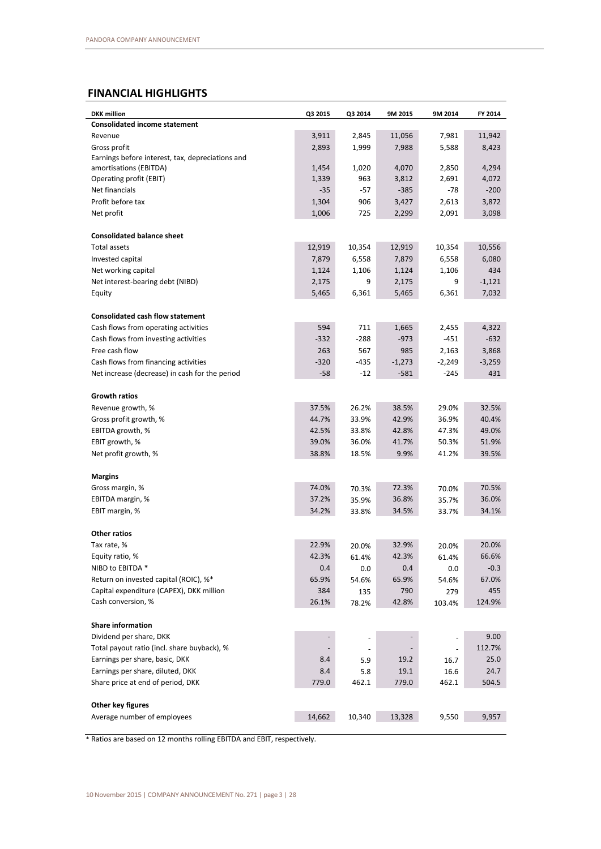# **FINANCIAL HIGHLIGHTS**

| <b>DKK</b> million                               | Q3 2015        | Q3 2014 | 9M 2015       | 9M 2014        | FY 2014        |
|--------------------------------------------------|----------------|---------|---------------|----------------|----------------|
| <b>Consolidated income statement</b>             |                |         |               |                |                |
| Revenue                                          | 3,911          | 2,845   | 11,056        | 7,981          | 11,942         |
| Gross profit                                     | 2,893          | 1,999   | 7,988         | 5,588          | 8,423          |
| Earnings before interest, tax, depreciations and |                |         |               |                |                |
| amortisations (EBITDA)                           | 1,454          | 1,020   | 4,070         | 2,850          | 4,294          |
| Operating profit (EBIT)                          | 1,339          | 963     | 3,812         | 2,691          | 4,072          |
| Net financials                                   | $-35$          | $-57$   | $-385$        | -78            | $-200$         |
| Profit before tax                                | 1,304          | 906     | 3,427         | 2,613          | 3,872          |
| Net profit                                       | 1,006          | 725     | 2,299         | 2,091          | 3,098          |
| <b>Consolidated balance sheet</b>                |                |         |               |                |                |
| Total assets                                     | 12,919         | 10,354  | 12,919        | 10,354         | 10,556         |
|                                                  | 7,879          |         |               |                | 6,080          |
| Invested capital                                 |                | 6,558   | 7,879         | 6,558          |                |
| Net working capital                              | 1,124          | 1,106   | 1,124         | 1,106          | 434            |
| Net interest-bearing debt (NIBD)                 | 2,175          | 9       | 2,175         | 9              | $-1,121$       |
| Equity                                           | 5,465          | 6,361   | 5,465         | 6,361          | 7,032          |
| <b>Consolidated cash flow statement</b>          |                |         |               |                |                |
| Cash flows from operating activities             | 594            | 711     | 1,665         | 2,455          | 4,322          |
| Cash flows from investing activities             | $-332$         | $-288$  | $-973$        | $-451$         | $-632$         |
| Free cash flow                                   | 263            | 567     | 985           | 2,163          | 3,868          |
| Cash flows from financing activities             | $-320$         | $-435$  | $-1,273$      | $-2,249$       | $-3,259$       |
| Net increase (decrease) in cash for the period   | $-58$          | -12     | $-581$        | $-245$         | 431            |
| <b>Growth ratios</b>                             |                |         |               |                |                |
|                                                  | 37.5%          |         |               | 29.0%          | 32.5%          |
| Revenue growth, %                                |                | 26.2%   | 38.5%         |                |                |
| Gross profit growth, %                           | 44.7%          | 33.9%   | 42.9%         | 36.9%          | 40.4%          |
| EBITDA growth, %                                 | 42.5%          | 33.8%   | 42.8%         | 47.3%          | 49.0%          |
| EBIT growth, %<br>Net profit growth, %           | 39.0%<br>38.8% | 36.0%   | 41.7%<br>9.9% | 50.3%<br>41.2% | 51.9%<br>39.5% |
|                                                  |                | 18.5%   |               |                |                |
| <b>Margins</b>                                   |                |         |               |                |                |
| Gross margin, %                                  | 74.0%          | 70.3%   | 72.3%         | 70.0%          | 70.5%          |
| EBITDA margin, %                                 | 37.2%          | 35.9%   | 36.8%         | 35.7%          | 36.0%          |
| EBIT margin, %                                   | 34.2%          | 33.8%   | 34.5%         | 33.7%          | 34.1%          |
| Other ratios                                     |                |         |               |                |                |
| Tax rate, %                                      | 22.9%          | 20.0%   | 32.9%         | 20.0%          | 20.0%          |
| Equity ratio, %                                  | 42.3%          | 61.4%   | 42.3%         | 61.4%          | 66.6%          |
| NIBD to EBITDA *                                 | 0.4            | 0.0     | 0.4           | $0.0\,$        | $-0.3$         |
| Return on invested capital (ROIC), %*            | 65.9%          | 54.6%   | 65.9%         | 54.6%          | 67.0%          |
| Capital expenditure (CAPEX), DKK million         | 384            |         | 790           |                | 455            |
| Cash conversion, %                               |                | 135     |               | 279            |                |
|                                                  | 26.1%          | 78.2%   | 42.8%         | 103.4%         | 124.9%         |
| <b>Share information</b>                         |                |         |               |                |                |
| Dividend per share, DKK                          |                |         |               |                | 9.00           |
| Total payout ratio (incl. share buyback), %      |                |         |               |                | 112.7%         |
| Earnings per share, basic, DKK                   | 8.4            | 5.9     | 19.2          | 16.7           | 25.0           |
| Earnings per share, diluted, DKK                 | 8.4            | 5.8     | 19.1          | 16.6           | 24.7           |
| Share price at end of period, DKK                | 779.0          | 462.1   | 779.0         | 462.1          | 504.5          |
| Other key figures                                |                |         |               |                |                |
| Average number of employees                      | 14,662         | 10,340  | 13,328        | 9,550          | 9,957          |
|                                                  |                |         |               |                |                |

\* Ratios are based on 12 months rolling EBITDA and EBIT, respectively.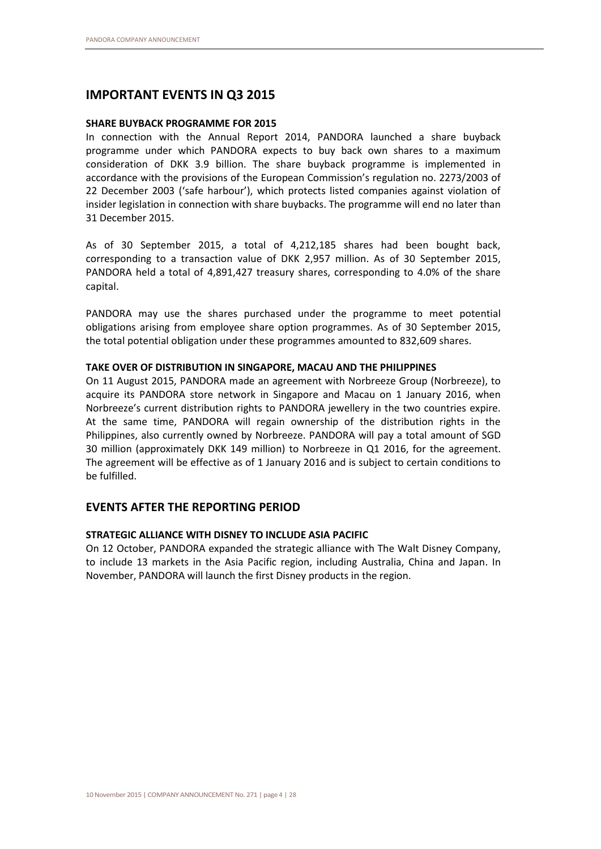# **IMPORTANT EVENTS IN Q3 2015**

# **SHARE BUYBACK PROGRAMME FOR 2015**

In connection with the Annual Report 2014, PANDORA launched a share buyback programme under which PANDORA expects to buy back own shares to a maximum consideration of DKK 3.9 billion. The share buyback programme is implemented in accordance with the provisions of the European Commission's regulation no. 2273/2003 of 22 December 2003 ('safe harbour'), which protects listed companies against violation of insider legislation in connection with share buybacks. The programme will end no later than 31 December 2015.

As of 30 September 2015, a total of 4,212,185 shares had been bought back, corresponding to a transaction value of DKK 2,957 million. As of 30 September 2015, PANDORA held a total of 4,891,427 treasury shares, corresponding to 4.0% of the share capital.

PANDORA may use the shares purchased under the programme to meet potential obligations arising from employee share option programmes. As of 30 September 2015, the total potential obligation under these programmes amounted to 832,609 shares.

# **TAKE OVER OF DISTRIBUTION IN SINGAPORE, MACAU AND THE PHILIPPINES**

On 11 August 2015, PANDORA made an agreement with Norbreeze Group (Norbreeze), to acquire its PANDORA store network in Singapore and Macau on 1 January 2016, when Norbreeze's current distribution rights to PANDORA jewellery in the two countries expire. At the same time, PANDORA will regain ownership of the distribution rights in the Philippines, also currently owned by Norbreeze. PANDORA will pay a total amount of SGD 30 million (approximately DKK 149 million) to Norbreeze in Q1 2016, for the agreement. The agreement will be effective as of 1 January 2016 and is subject to certain conditions to be fulfilled.

# **EVENTS AFTER THE REPORTING PERIOD**

# **STRATEGIC ALLIANCE WITH DISNEY TO INCLUDE ASIA PACIFIC**

On 12 October, PANDORA expanded the strategic alliance with The Walt Disney Company, to include 13 markets in the Asia Pacific region, including Australia, China and Japan. In November, PANDORA will launch the first Disney products in the region.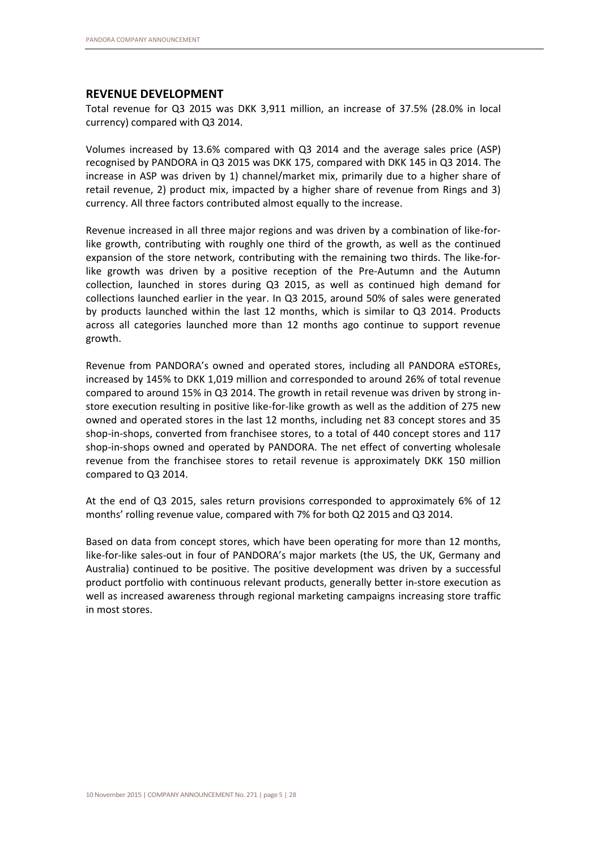# **REVENUE DEVELOPMENT**

Total revenue for Q3 2015 was DKK 3,911 million, an increase of 37.5% (28.0% in local currency) compared with Q3 2014.

Volumes increased by 13.6% compared with Q3 2014 and the average sales price (ASP) recognised by PANDORA in Q3 2015 was DKK 175, compared with DKK 145 in Q3 2014. The increase in ASP was driven by 1) channel/market mix, primarily due to a higher share of retail revenue, 2) product mix, impacted by a higher share of revenue from Rings and 3) currency. All three factors contributed almost equally to the increase.

Revenue increased in all three major regions and was driven by a combination of like-forlike growth, contributing with roughly one third of the growth, as well as the continued expansion of the store network, contributing with the remaining two thirds. The like-forlike growth was driven by a positive reception of the Pre-Autumn and the Autumn collection, launched in stores during Q3 2015, as well as continued high demand for collections launched earlier in the year. In Q3 2015, around 50% of sales were generated by products launched within the last 12 months, which is similar to Q3 2014. Products across all categories launched more than 12 months ago continue to support revenue growth.

Revenue from PANDORA's owned and operated stores, including all PANDORA eSTOREs, increased by 145% to DKK 1,019 million and corresponded to around 26% of total revenue compared to around 15% in Q3 2014. The growth in retail revenue was driven by strong instore execution resulting in positive like-for-like growth as well as the addition of 275 new owned and operated stores in the last 12 months, including net 83 concept stores and 35 shop-in-shops, converted from franchisee stores, to a total of 440 concept stores and 117 shop-in-shops owned and operated by PANDORA. The net effect of converting wholesale revenue from the franchisee stores to retail revenue is approximately DKK 150 million compared to Q3 2014.

At the end of Q3 2015, sales return provisions corresponded to approximately 6% of 12 months' rolling revenue value, compared with 7% for both Q2 2015 and Q3 2014.

Based on data from concept stores, which have been operating for more than 12 months, like-for-like sales-out in four of PANDORA's major markets (the US, the UK, Germany and Australia) continued to be positive. The positive development was driven by a successful product portfolio with continuous relevant products, generally better in-store execution as well as increased awareness through regional marketing campaigns increasing store traffic in most stores.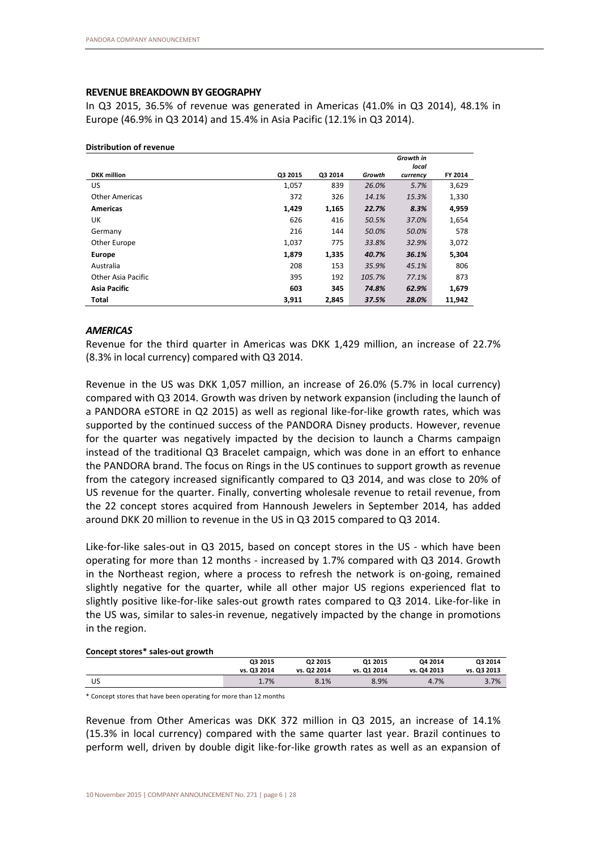# **REVENUE BREAKDOWN BY GEOGRAPHY**

In Q3 2015, 36.5% of revenue was generated in Americas (41.0% in Q3 2014), 48.1% in Europe (46.9% in Q3 2014) and 15.4% in Asia Pacific (12.1% in Q3 2014).

|                       |         |         |        | Growth in |         |
|-----------------------|---------|---------|--------|-----------|---------|
|                       |         |         |        | local     |         |
| <b>DKK</b> million    | Q3 2015 | Q3 2014 | Growth | currency  | FY 2014 |
| US                    | 1,057   | 839     | 26.0%  | 5.7%      | 3,629   |
| <b>Other Americas</b> | 372     | 326     | 14.1%  | 15.3%     | 1,330   |
| <b>Americas</b>       | 1,429   | 1,165   | 22.7%  | 8.3%      | 4,959   |
| UK                    | 626     | 416     | 50.5%  | 37.0%     | 1,654   |
| Germany               | 216     | 144     | 50.0%  | 50.0%     | 578     |
| Other Europe          | 1,037   | 775     | 33.8%  | 32.9%     | 3,072   |
| <b>Europe</b>         | 1,879   | 1,335   | 40.7%  | 36.1%     | 5,304   |
| Australia             | 208     | 153     | 35.9%  | 45.1%     | 806     |
| Other Asia Pacific    | 395     | 192     | 105.7% | 77.1%     | 873     |
| <b>Asia Pacific</b>   | 603     | 345     | 74.8%  | 62.9%     | 1,679   |
| <b>Total</b>          | 3,911   | 2.845   | 37.5%  | 28.0%     | 11,942  |

#### **Distribution of revenue**

#### *AMERICAS*

Revenue for the third quarter in Americas was DKK 1,429 million, an increase of 22.7% (8.3% in local currency) compared with Q3 2014.

Revenue in the US was DKK 1,057 million, an increase of 26.0% (5.7% in local currency) compared with Q3 2014. Growth was driven by network expansion (including the launch of a PANDORA eSTORE in Q2 2015) as well as regional like-for-like growth rates, which was supported by the continued success of the PANDORA Disney products. However, revenue for the quarter was negatively impacted by the decision to launch a Charms campaign instead of the traditional Q3 Bracelet campaign, which was done in an effort to enhance the PANDORA brand. The focus on Rings in the US continues to support growth as revenue from the category increased significantly compared to Q3 2014, and was close to 20% of US revenue for the quarter. Finally, converting wholesale revenue to retail revenue, from the 22 concept stores acquired from Hannoush Jewelers in September 2014, has added around DKK 20 million to revenue in the US in Q3 2015 compared to Q3 2014.

Like-for-like sales-out in Q3 2015, based on concept stores in the US - which have been operating for more than 12 months - increased by 1.7% compared with Q3 2014. Growth in the Northeast region, where a process to refresh the network is on-going, remained slightly negative for the quarter, while all other major US regions experienced flat to slightly positive like-for-like sales-out growth rates compared to Q3 2014. Like-for-like in the US was, similar to sales-in revenue, negatively impacted by the change in promotions in the region.

#### **Concept stores\* sales-out growth**

|    | Q3 2015     | Q2 2015     | Q1 2015     | Q4 2014     | Q3 2014     |
|----|-------------|-------------|-------------|-------------|-------------|
|    | vs. Q3 2014 | vs. Q2 2014 | vs. Q1 2014 | vs. Q4 2013 | vs. Q3 2013 |
| US | 1.7%        | 8.1%        | 8.9%        | 4.7%        | 3.7%        |

\* Concept stores that have been operating for more than 12 months

Revenue from Other Americas was DKK 372 million in Q3 2015, an increase of 14.1% (15.3% in local currency) compared with the same quarter last year. Brazil continues to perform well, driven by double digit like-for-like growth rates as well as an expansion of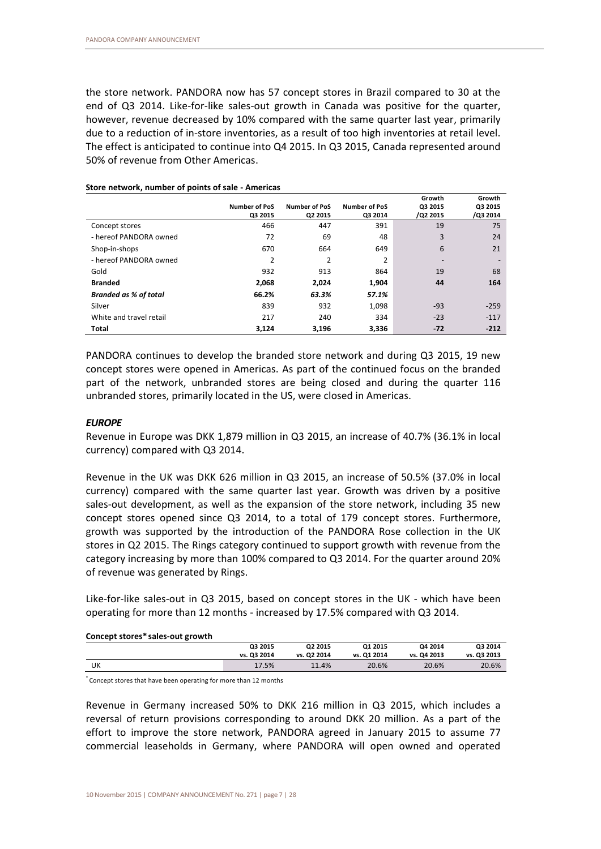the store network. PANDORA now has 57 concept stores in Brazil compared to 30 at the end of Q3 2014. Like-for-like sales-out growth in Canada was positive for the quarter, however, revenue decreased by 10% compared with the same quarter last year, primarily due to a reduction of in-store inventories, as a result of too high inventories at retail level. The effect is anticipated to continue into Q4 2015. In Q3 2015, Canada represented around 50% of revenue from Other Americas.

|                              |                      |                      |                      | Growth   | Growth   |
|------------------------------|----------------------|----------------------|----------------------|----------|----------|
|                              | <b>Number of PoS</b> | <b>Number of PoS</b> | <b>Number of PoS</b> | Q3 2015  | Q3 2015  |
|                              | Q3 2015              | Q2 2015              | Q3 2014              | /Q2 2015 | /Q3 2014 |
| Concept stores               | 466                  | 447                  | 391                  | 19       | 75       |
| - hereof PANDORA owned       | 72                   | 69                   | 48                   | 3        | 24       |
| Shop-in-shops                | 670                  | 664                  | 649                  | 6        | 21       |
| - hereof PANDORA owned       | 2                    | $\overline{2}$       | 2                    |          |          |
| Gold                         | 932                  | 913                  | 864                  | 19       | 68       |
| <b>Branded</b>               | 2,068                | 2,024                | 1,904                | 44       | 164      |
| <b>Branded as % of total</b> | 66.2%                | 63.3%                | 57.1%                |          |          |
| Silver                       | 839                  | 932                  | 1,098                | $-93$    | $-259$   |
| White and travel retail      | 217                  | 240                  | 334                  | $-23$    | $-117$   |
| <b>Total</b>                 | 3.124                | 3,196                | 3,336                | $-72$    | $-212$   |

**Store network, number of points of sale - Americas**

PANDORA continues to develop the branded store network and during Q3 2015, 19 new concept stores were opened in Americas. As part of the continued focus on the branded part of the network, unbranded stores are being closed and during the quarter 116 unbranded stores, primarily located in the US, were closed in Americas.

### *EUROPE*

Revenue in Europe was DKK 1,879 million in Q3 2015, an increase of 40.7% (36.1% in local currency) compared with Q3 2014.

Revenue in the UK was DKK 626 million in Q3 2015, an increase of 50.5% (37.0% in local currency) compared with the same quarter last year. Growth was driven by a positive sales-out development, as well as the expansion of the store network, including 35 new concept stores opened since Q3 2014, to a total of 179 concept stores. Furthermore, growth was supported by the introduction of the PANDORA Rose collection in the UK stores in Q2 2015. The Rings category continued to support growth with revenue from the category increasing by more than 100% compared to Q3 2014. For the quarter around 20% of revenue was generated by Rings.

Like-for-like sales-out in Q3 2015, based on concept stores in the UK - which have been operating for more than 12 months - increased by 17.5% compared with Q3 2014.

#### **Concept stores\*sales-out growth**

|    | Q3 2015     | Q2 2015     | Q1 2015     | Q4 2014     | Q3 2014     |
|----|-------------|-------------|-------------|-------------|-------------|
|    | vs. Q3 2014 | vs. Q2 2014 | vs. Q1 2014 | vs. Q4 2013 | vs. Q3 2013 |
| UK | 17.5%       | 11.4%       | 20.6%       | 20.6%       | 20.6%       |

\* Concept stores that have been operating for more than 12 months

Revenue in Germany increased 50% to DKK 216 million in Q3 2015, which includes a reversal of return provisions corresponding to around DKK 20 million. As a part of the effort to improve the store network, PANDORA agreed in January 2015 to assume 77 commercial leaseholds in Germany, where PANDORA will open owned and operated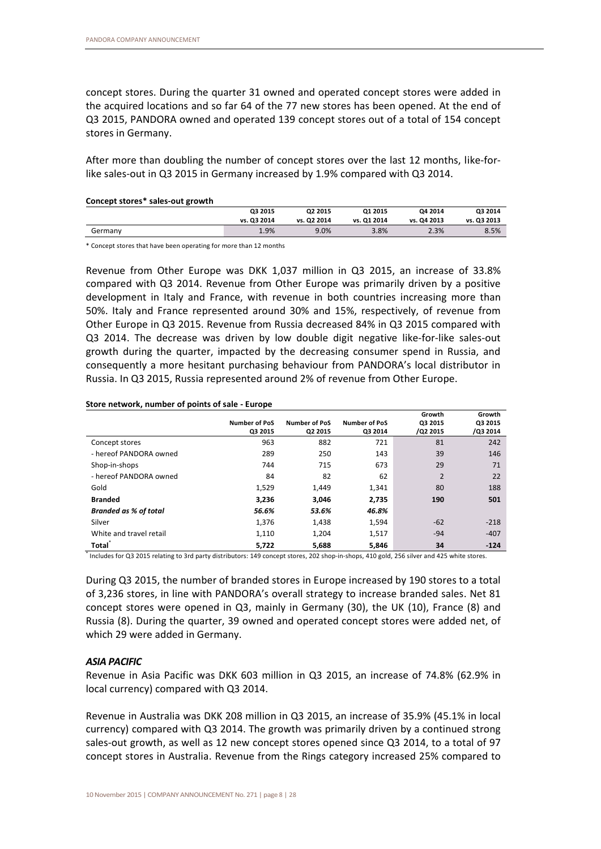concept stores. During the quarter 31 owned and operated concept stores were added in the acquired locations and so far 64 of the 77 new stores has been opened. At the end of Q3 2015, PANDORA owned and operated 139 concept stores out of a total of 154 concept stores in Germany.

After more than doubling the number of concept stores over the last 12 months, like-forlike sales-out in Q3 2015 in Germany increased by 1.9% compared with Q3 2014.

#### **Concept stores\* sales-out growth**

| _______________________________ |             |                     |             |             |             |
|---------------------------------|-------------|---------------------|-------------|-------------|-------------|
|                                 | Q3 2015     | Q <sub>2</sub> 2015 | 01 2015     | Q4 2014     | Q3 2014     |
|                                 | vs. Q3 2014 | vs. Q2 2014         | vs. Q1 2014 | vs. Q4 2013 | vs. Q3 2013 |
| Germany                         | 1.9%        | 9.0%                | 3.8%        | 2.3%        | 8.5%        |
|                                 |             |                     |             |             |             |

\* Concept stores that have been operating for more than 12 months

Revenue from Other Europe was DKK 1,037 million in Q3 2015, an increase of 33.8% compared with Q3 2014. Revenue from Other Europe was primarily driven by a positive development in Italy and France, with revenue in both countries increasing more than 50%. Italy and France represented around 30% and 15%, respectively, of revenue from Other Europe in Q3 2015. Revenue from Russia decreased 84% in Q3 2015 compared with Q3 2014. The decrease was driven by low double digit negative like-for-like sales-out growth during the quarter, impacted by the decreasing consumer spend in Russia, and consequently a more hesitant purchasing behaviour from PANDORA's local distributor in Russia. In Q3 2015, Russia represented around 2% of revenue from Other Europe.

#### **Store network, number of points of sale - Europe**

|                              | <b>Number of PoS</b><br>Q3 2015 | Number of PoS<br>Q2 2015 | <b>Number of PoS</b><br>Q3 2014 | Growth<br>Q3 2015<br>/Q2 2015 | Growth<br>Q3 2015<br>/Q3 2014 |
|------------------------------|---------------------------------|--------------------------|---------------------------------|-------------------------------|-------------------------------|
| Concept stores               | 963                             | 882                      | 721                             | 81                            | 242                           |
| - hereof PANDORA owned       | 289                             | 250                      | 143                             | 39                            | 146                           |
| Shop-in-shops                | 744                             | 715                      | 673                             | 29                            | 71                            |
| - hereof PANDORA owned       | 84                              | 82                       | 62                              | $\overline{2}$                | 22                            |
| Gold                         | 1,529                           | 1,449                    | 1,341                           | 80                            | 188                           |
| <b>Branded</b>               | 3,236                           | 3,046                    | 2,735                           | 190                           | 501                           |
| <b>Branded as % of total</b> | 56.6%                           | 53.6%                    | 46.8%                           |                               |                               |
| Silver                       | 1,376                           | 1,438                    | 1,594                           | $-62$                         | $-218$                        |
| White and travel retail      | 1,110                           | 1,204                    | 1,517                           | $-94$                         | $-407$                        |
| Total                        | 5,722                           | 5,688                    | 5,846                           | 34                            | $-124$                        |

\* Includes for Q3 2015 relating to 3rd party distributors: 149 concept stores, 202 shop-in-shops, 410 gold, 256 silver and 425 white stores.

During Q3 2015, the number of branded stores in Europe increased by 190 stores to a total of 3,236 stores, in line with PANDORA's overall strategy to increase branded sales. Net 81 concept stores were opened in Q3, mainly in Germany (30), the UK (10), France (8) and Russia (8). During the quarter, 39 owned and operated concept stores were added net, of which 29 were added in Germany.

# *ASIA PACIFIC*

Revenue in Asia Pacific was DKK 603 million in Q3 2015, an increase of 74.8% (62.9% in local currency) compared with Q3 2014.

Revenue in Australia was DKK 208 million in Q3 2015, an increase of 35.9% (45.1% in local currency) compared with Q3 2014. The growth was primarily driven by a continued strong sales-out growth, as well as 12 new concept stores opened since Q3 2014, to a total of 97 concept stores in Australia. Revenue from the Rings category increased 25% compared to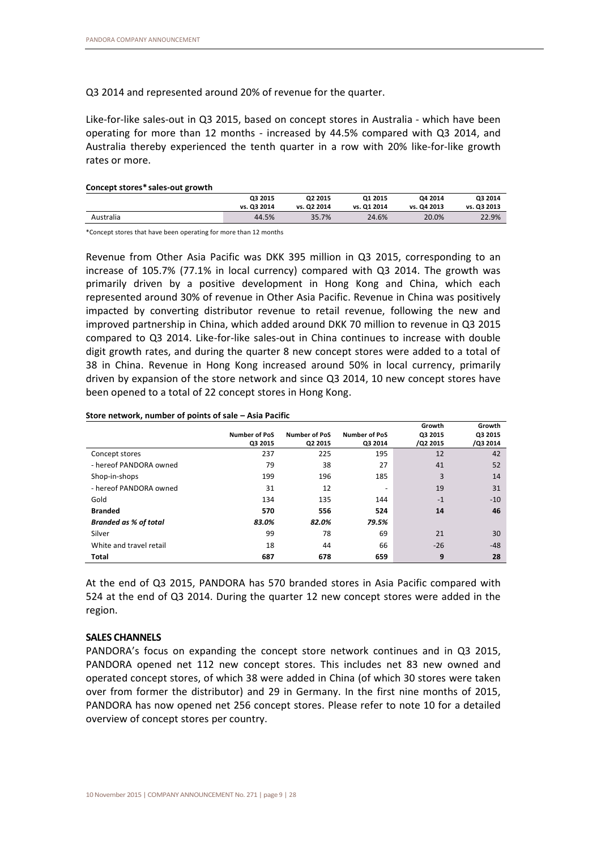Q3 2014 and represented around 20% of revenue for the quarter.

Like-for-like sales-out in Q3 2015, based on concept stores in Australia - which have been operating for more than 12 months - increased by 44.5% compared with Q3 2014, and Australia thereby experienced the tenth quarter in a row with 20% like-for-like growth rates or more.

#### **Concept stores\* sales-out growth**

|           | Q3 2015     | Q2 2015     | Q1 2015     | Q4 2014     | Q3 2014     |
|-----------|-------------|-------------|-------------|-------------|-------------|
|           | vs. Q3 2014 | vs. Q2 2014 | vs. Q1 2014 | vs. Q4 2013 | vs. Q3 2013 |
| Australia | 44.5%       | 35.7%       | 24.6%       | 20.0%       | 22.9%       |
|           |             |             |             |             |             |

\*Concept stores that have been operating for more than 12 months

Revenue from Other Asia Pacific was DKK 395 million in Q3 2015, corresponding to an increase of 105.7% (77.1% in local currency) compared with Q3 2014. The growth was primarily driven by a positive development in Hong Kong and China, which each represented around 30% of revenue in Other Asia Pacific. Revenue in China was positively impacted by converting distributor revenue to retail revenue, following the new and improved partnership in China, which added around DKK 70 million to revenue in Q3 2015 compared to Q3 2014. Like-for-like sales-out in China continues to increase with double digit growth rates, and during the quarter 8 new concept stores were added to a total of 38 in China. Revenue in Hong Kong increased around 50% in local currency, primarily driven by expansion of the store network and since Q3 2014, 10 new concept stores have been opened to a total of 22 concept stores in Hong Kong.

#### **Store network, number of points of sale – Asia Pacific**

|                              |                      |                      |                      | Growth   | Growth   |
|------------------------------|----------------------|----------------------|----------------------|----------|----------|
|                              | <b>Number of PoS</b> | <b>Number of PoS</b> | <b>Number of PoS</b> | Q3 2015  | Q3 2015  |
|                              | Q3 2015              | Q2 2015              | Q3 2014              | /Q2 2015 | /Q3 2014 |
| Concept stores               | 237                  | 225                  | 195                  | 12       | 42       |
| - hereof PANDORA owned       | 79                   | 38                   | 27                   | 41       | 52       |
| Shop-in-shops                | 199                  | 196                  | 185                  | 3        | 14       |
| - hereof PANDORA owned       | 31                   | 12                   |                      | 19       | 31       |
| Gold                         | 134                  | 135                  | 144                  | $-1$     | $-10$    |
| <b>Branded</b>               | 570                  | 556                  | 524                  | 14       | 46       |
| <b>Branded as % of total</b> | 83.0%                | 82.0%                | 79.5%                |          |          |
| Silver                       | 99                   | 78                   | 69                   | 21       | 30       |
| White and travel retail      | 18                   | 44                   | 66                   | $-26$    | $-48$    |
| Total                        | 687                  | 678                  | 659                  | 9        | 28       |

At the end of Q3 2015, PANDORA has 570 branded stores in Asia Pacific compared with 524 at the end of Q3 2014. During the quarter 12 new concept stores were added in the region.

# **SALES CHANNELS**

PANDORA's focus on expanding the concept store network continues and in Q3 2015, PANDORA opened net 112 new concept stores. This includes net 83 new owned and operated concept stores, of which 38 were added in China (of which 30 stores were taken over from former the distributor) and 29 in Germany. In the first nine months of 2015, PANDORA has now opened net 256 concept stores. Please refer to note 10 for a detailed overview of concept stores per country.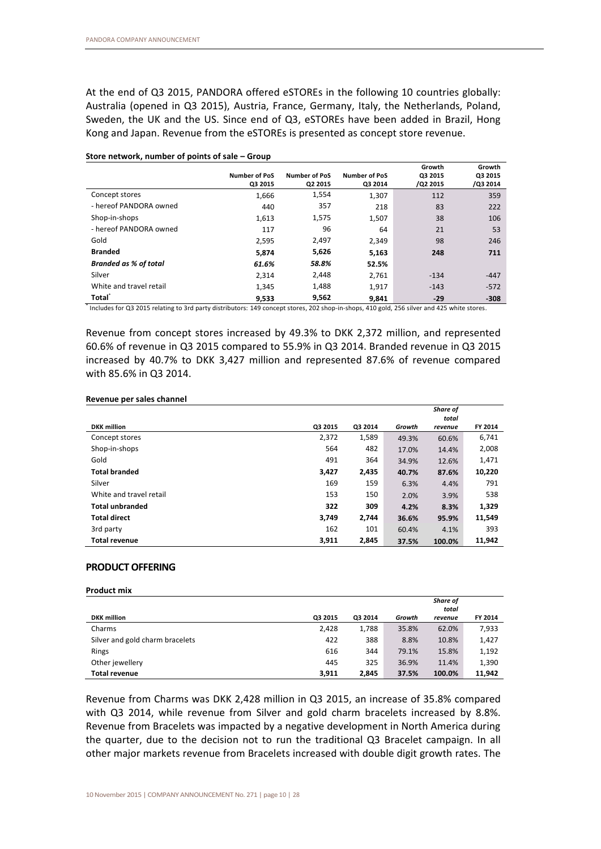At the end of Q3 2015, PANDORA offered eSTOREs in the following 10 countries globally: Australia (opened in Q3 2015), Austria, France, Germany, Italy, the Netherlands, Poland, Sweden, the UK and the US. Since end of Q3, eSTOREs have been added in Brazil, Hong Kong and Japan. Revenue from the eSTOREs is presented as concept store revenue.

|                         | <b>Number of PoS</b><br>Q3 2015 | Number of PoS<br>Q2 2015 | <b>Number of PoS</b><br>Q3 2014 | Growth<br>Q3 2015<br>/Q2 2015 | Growth<br>Q3 2015<br>/Q3 2014 |
|-------------------------|---------------------------------|--------------------------|---------------------------------|-------------------------------|-------------------------------|
| Concept stores          | 1,666                           | 1,554                    | 1,307                           | 112                           | 359                           |
| - hereof PANDORA owned  | 440                             | 357                      | 218                             | 83                            | 222                           |
| Shop-in-shops           | 1,613                           | 1,575                    | 1,507                           | 38                            | 106                           |
| - hereof PANDORA owned  | 117                             | 96                       | 64                              | 21                            | 53                            |
| Gold                    | 2,595                           | 2,497                    | 2,349                           | 98                            | 246                           |
| <b>Branded</b>          | 5,874                           | 5,626                    | 5,163                           | 248                           | 711                           |
| Branded as % of total   | 61.6%                           | 58.8%                    | 52.5%                           |                               |                               |
| Silver                  | 2.314                           | 2,448                    | 2,761                           | $-134$                        | $-447$                        |
| White and travel retail | 1,345                           | 1,488                    | 1.917                           | $-143$                        | $-572$                        |
| <b>Total</b>            | 9,533                           | 9,562                    | 9.841                           | $-29$                         | $-308$                        |

**Store network, number of points of sale – Group**

\* Includes for Q3 2015 relating to 3rd party distributors: 149 concept stores, 202 shop-in-shops, 410 gold, 256 silver and 425 white stores.

Revenue from concept stores increased by 49.3% to DKK 2,372 million, and represented 60.6% of revenue in Q3 2015 compared to 55.9% in Q3 2014. Branded revenue in Q3 2015 increased by 40.7% to DKK 3,427 million and represented 87.6% of revenue compared with 85.6% in Q3 2014.

#### **Revenue per sales channel**

|                         |         |         |        | Share of |         |
|-------------------------|---------|---------|--------|----------|---------|
|                         |         |         |        | total    |         |
| <b>DKK</b> million      | Q3 2015 | Q3 2014 | Growth | revenue  | FY 2014 |
| Concept stores          | 2,372   | 1,589   | 49.3%  | 60.6%    | 6,741   |
| Shop-in-shops           | 564     | 482     | 17.0%  | 14.4%    | 2,008   |
| Gold                    | 491     | 364     | 34.9%  | 12.6%    | 1,471   |
| <b>Total branded</b>    | 3,427   | 2,435   | 40.7%  | 87.6%    | 10,220  |
| Silver                  | 169     | 159     | 6.3%   | 4.4%     | 791     |
| White and travel retail | 153     | 150     | 2.0%   | 3.9%     | 538     |
| <b>Total unbranded</b>  | 322     | 309     | 4.2%   | 8.3%     | 1,329   |
| <b>Total direct</b>     | 3,749   | 2,744   | 36.6%  | 95.9%    | 11,549  |
| 3rd party               | 162     | 101     | 60.4%  | 4.1%     | 393     |
| <b>Total revenue</b>    | 3,911   | 2,845   | 37.5%  | 100.0%   | 11,942  |

# **PRODUCT OFFERING**

|                                 |         |         |        | <b>Share of</b> |         |
|---------------------------------|---------|---------|--------|-----------------|---------|
|                                 |         |         |        | total           |         |
| <b>DKK</b> million              | Q3 2015 | Q3 2014 | Growth | revenue         | FY 2014 |
| Charms                          | 2,428   | 1,788   | 35.8%  | 62.0%           | 7,933   |
| Silver and gold charm bracelets | 422     | 388     | 8.8%   | 10.8%           | 1,427   |
| Rings                           | 616     | 344     | 79.1%  | 15.8%           | 1,192   |
| Other jewellery                 | 445     | 325     | 36.9%  | 11.4%           | 1,390   |
| <b>Total revenue</b>            | 3,911   | 2,845   | 37.5%  | 100.0%          | 11.942  |

Revenue from Charms was DKK 2,428 million in Q3 2015, an increase of 35.8% compared with Q3 2014, while revenue from Silver and gold charm bracelets increased by 8.8%. Revenue from Bracelets was impacted by a negative development in North America during the quarter, due to the decision not to run the traditional Q3 Bracelet campaign. In all other major markets revenue from Bracelets increased with double digit growth rates. The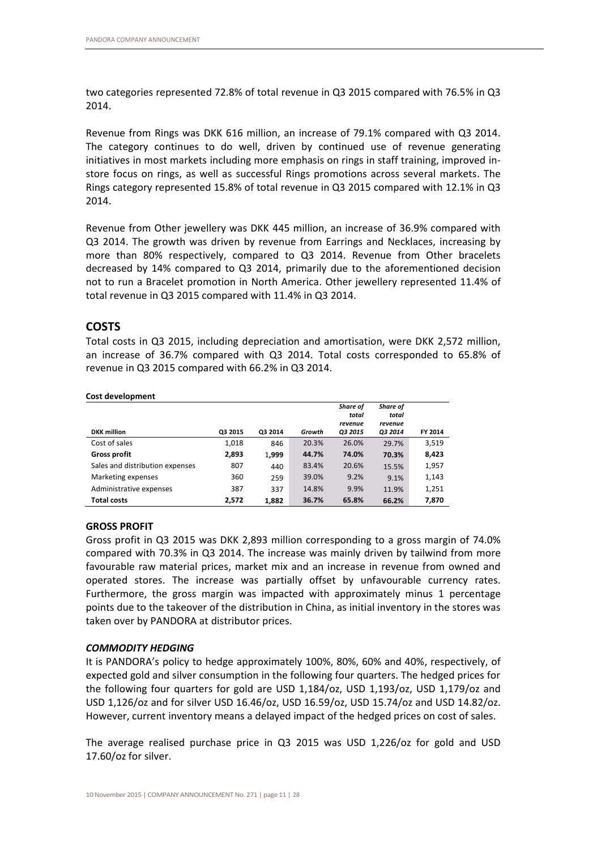two categories represented 72.8% of total revenue in Q3 2015 compared with 76.5% in Q3 2014.

Revenue from Rings was DKK 616 million, an increase of 79.1% compared with Q3 2014. The category continues to do well, driven by continued use of revenue generating initiatives in most markets including more emphasis on rings in staff training, improved instore focus on rings, as well as successful Rings promotions across several markets. The Rings category represented 15.8% of total revenue in Q3 2015 compared with 12.1% in Q3 2014.

Revenue from Other jewellery was DKK 445 million, an increase of 36.9% compared with Q3 2014. The growth was driven by revenue from Earrings and Necklaces, increasing by more than 80% respectively, compared to Q3 2014. Revenue from Other bracelets decreased by 14% compared to Q3 2014, primarily due to the aforementioned decision not to run a Bracelet promotion in North America. Other jewellery represented 11.4% of total revenue in Q3 2015 compared with 11.4% in Q3 2014.

# **COSTS**

Total costs in Q3 2015, including depreciation and amortisation, were DKK 2,572 million, an increase of 36.7% compared with Q3 2014. Total costs corresponded to 65.8% of revenue in Q3 2015 compared with 66.2% in Q3 2014.

|                                 |         |         |        | Share of<br>total<br>revenue | Share of<br>total<br>revenue |         |
|---------------------------------|---------|---------|--------|------------------------------|------------------------------|---------|
| <b>DKK</b> million              | Q3 2015 | Q3 2014 | Growth | O3 2015                      | <b>Q3 2014</b>               | FY 2014 |
| Cost of sales                   | 1,018   | 846     | 20.3%  | 26.0%                        | 29.7%                        | 3,519   |
| <b>Gross profit</b>             | 2,893   | 1.999   | 44.7%  | 74.0%                        | 70.3%                        | 8,423   |
| Sales and distribution expenses | 807     | 440     | 83.4%  | 20.6%                        | 15.5%                        | 1,957   |
| Marketing expenses              | 360     | 259     | 39.0%  | 9.2%                         | 9.1%                         | 1,143   |
| Administrative expenses         | 387     | 337     | 14.8%  | 9.9%                         | 11.9%                        | 1,251   |
| <b>Total costs</b>              | 2,572   | 1,882   | 36.7%  | 65.8%                        | 66.2%                        | 7,870   |

#### **Cost development**

# **GROSS PROFIT**

Gross profit in Q3 2015 was DKK 2,893 million corresponding to a gross margin of 74.0% compared with 70.3% in Q3 2014. The increase was mainly driven by tailwind from more favourable raw material prices, market mix and an increase in revenue from owned and operated stores. The increase was partially offset by unfavourable currency rates. Furthermore, the gross margin was impacted with approximately minus 1 percentage points due to the takeover of the distribution in China, as initial inventory in the stores was taken over by PANDORA at distributor prices.

# *COMMODITY HEDGING*

It is PANDORA's policy to hedge approximately 100%, 80%, 60% and 40%, respectively, of expected gold and silver consumption in the following four quarters. The hedged prices for the following four quarters for gold are USD 1,184/oz, USD 1,193/oz, USD 1,179/oz and USD 1,126/oz and for silver USD 16.46/oz, USD 16.59/oz, USD 15.74/oz and USD 14.82/oz. However, current inventory means a delayed impact of the hedged prices on cost of sales.

The average realised purchase price in Q3 2015 was USD 1,226/oz for gold and USD 17.60/oz for silver.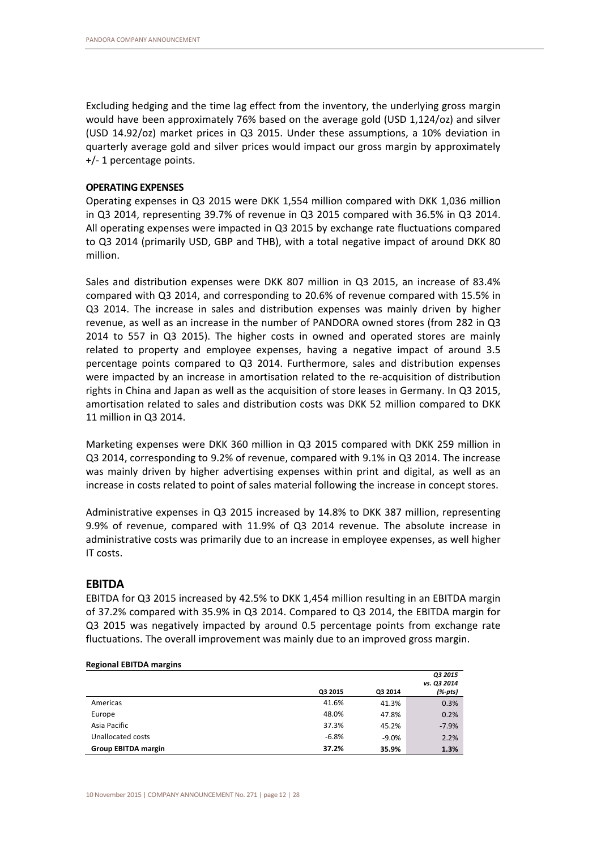Excluding hedging and the time lag effect from the inventory, the underlying gross margin would have been approximately 76% based on the average gold (USD 1,124/oz) and silver (USD 14.92/oz) market prices in Q3 2015. Under these assumptions, a 10% deviation in quarterly average gold and silver prices would impact our gross margin by approximately +/- 1 percentage points.

## **OPERATING EXPENSES**

Operating expenses in Q3 2015 were DKK 1,554 million compared with DKK 1,036 million in Q3 2014, representing 39.7% of revenue in Q3 2015 compared with 36.5% in Q3 2014. All operating expenses were impacted in Q3 2015 by exchange rate fluctuations compared to Q3 2014 (primarily USD, GBP and THB), with a total negative impact of around DKK 80 million.

Sales and distribution expenses were DKK 807 million in Q3 2015, an increase of 83.4% compared with Q3 2014, and corresponding to 20.6% of revenue compared with 15.5% in Q3 2014. The increase in sales and distribution expenses was mainly driven by higher revenue, as well as an increase in the number of PANDORA owned stores (from 282 in Q3 2014 to 557 in Q3 2015). The higher costs in owned and operated stores are mainly related to property and employee expenses, having a negative impact of around 3.5 percentage points compared to Q3 2014. Furthermore, sales and distribution expenses were impacted by an increase in amortisation related to the re-acquisition of distribution rights in China and Japan as well as the acquisition of store leases in Germany. In Q3 2015, amortisation related to sales and distribution costs was DKK 52 million compared to DKK 11 million in Q3 2014.

Marketing expenses were DKK 360 million in Q3 2015 compared with DKK 259 million in Q3 2014, corresponding to 9.2% of revenue, compared with 9.1% in Q3 2014. The increase was mainly driven by higher advertising expenses within print and digital, as well as an increase in costs related to point of sales material following the increase in concept stores.

Administrative expenses in Q3 2015 increased by 14.8% to DKK 387 million, representing 9.9% of revenue, compared with 11.9% of Q3 2014 revenue. The absolute increase in administrative costs was primarily due to an increase in employee expenses, as well higher IT costs.

# **EBITDA**

EBITDA for Q3 2015 increased by 42.5% to DKK 1,454 million resulting in an EBITDA margin of 37.2% compared with 35.9% in Q3 2014. Compared to Q3 2014, the EBITDA margin for Q3 2015 was negatively impacted by around 0.5 percentage points from exchange rate fluctuations. The overall improvement was mainly due to an improved gross margin.

| <b>READMAN COLLOR INCIANS</b> |         |         |             |
|-------------------------------|---------|---------|-------------|
|                               |         |         | O3 2015     |
|                               |         |         | vs. Q3 2014 |
|                               | Q3 2015 | Q3 2014 | (%-pts)     |
| Americas                      | 41.6%   | 41.3%   | 0.3%        |
| Europe                        | 48.0%   | 47.8%   | 0.2%        |
| Asia Pacific                  | 37.3%   | 45.2%   | $-7.9%$     |
| Unallocated costs             | $-6.8%$ | $-9.0%$ | 2.2%        |
| <b>Group EBITDA margin</b>    | 37.2%   | 35.9%   | 1.3%        |

#### **Regional EBITDA margins**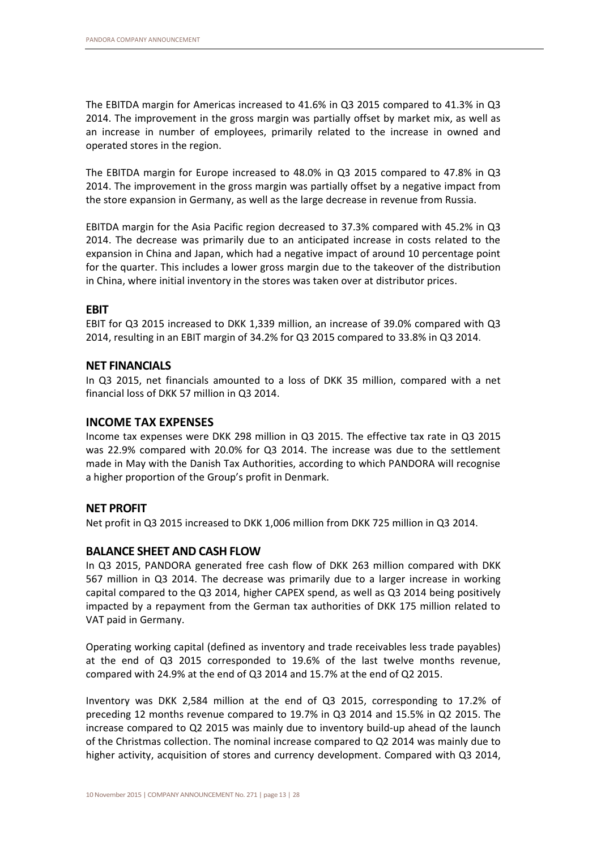The EBITDA margin for Americas increased to 41.6% in Q3 2015 compared to 41.3% in Q3 2014. The improvement in the gross margin was partially offset by market mix, as well as an increase in number of employees, primarily related to the increase in owned and operated stores in the region.

The EBITDA margin for Europe increased to 48.0% in Q3 2015 compared to 47.8% in Q3 2014. The improvement in the gross margin was partially offset by a negative impact from the store expansion in Germany, as well as the large decrease in revenue from Russia.

EBITDA margin for the Asia Pacific region decreased to 37.3% compared with 45.2% in Q3 2014. The decrease was primarily due to an anticipated increase in costs related to the expansion in China and Japan, which had a negative impact of around 10 percentage point for the quarter. This includes a lower gross margin due to the takeover of the distribution in China, where initial inventory in the stores was taken over at distributor prices.

# **EBIT**

EBIT for Q3 2015 increased to DKK 1,339 million, an increase of 39.0% compared with Q3 2014, resulting in an EBIT margin of 34.2% for Q3 2015 compared to 33.8% in Q3 2014.

# **NET FINANCIALS**

In Q3 2015, net financials amounted to a loss of DKK 35 million, compared with a net financial loss of DKK 57 million in Q3 2014.

# **INCOME TAX EXPENSES**

Income tax expenses were DKK 298 million in Q3 2015. The effective tax rate in Q3 2015 was 22.9% compared with 20.0% for Q3 2014. The increase was due to the settlement made in May with the Danish Tax Authorities, according to which PANDORA will recognise a higher proportion of the Group's profit in Denmark.

# **NET PROFIT**

Net profit in Q3 2015 increased to DKK 1,006 million from DKK 725 million in Q3 2014.

# **BALANCE SHEET AND CASH FLOW**

In Q3 2015, PANDORA generated free cash flow of DKK 263 million compared with DKK 567 million in Q3 2014. The decrease was primarily due to a larger increase in working capital compared to the Q3 2014, higher CAPEX spend, as well as Q3 2014 being positively impacted by a repayment from the German tax authorities of DKK 175 million related to VAT paid in Germany.

Operating working capital (defined as inventory and trade receivables less trade payables) at the end of Q3 2015 corresponded to 19.6% of the last twelve months revenue, compared with 24.9% at the end of Q3 2014 and 15.7% at the end of Q2 2015.

Inventory was DKK 2,584 million at the end of Q3 2015, corresponding to 17.2% of preceding 12 months revenue compared to 19.7% in Q3 2014 and 15.5% in Q2 2015. The increase compared to Q2 2015 was mainly due to inventory build-up ahead of the launch of the Christmas collection. The nominal increase compared to Q2 2014 was mainly due to higher activity, acquisition of stores and currency development. Compared with Q3 2014,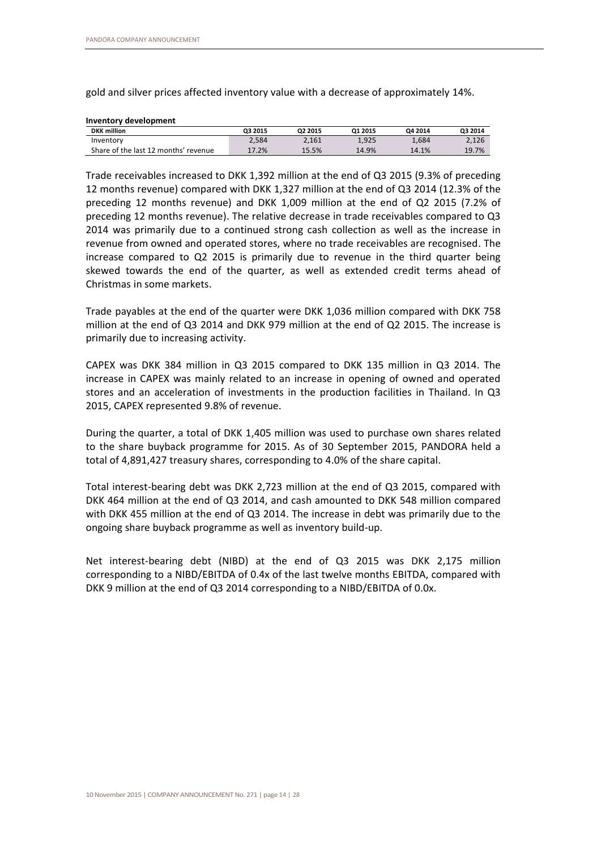gold and silver prices affected inventory value with a decrease of approximately 14%.

| Inventory development                |         |         |         |         |         |
|--------------------------------------|---------|---------|---------|---------|---------|
| <b>DKK</b> million                   | Q3 2015 | Q2 2015 | 01 2015 | Q4 2014 | Q3 2014 |
| Inventory                            | 2.584   | 2,161   | 1.925   | 1.684   | 2,126   |
| Share of the last 12 months' revenue | 17.2%   | 15.5%   | 14.9%   | 14.1%   | 19.7%   |

Trade receivables increased to DKK 1,392 million at the end of Q3 2015 (9.3% of preceding 12 months revenue) compared with DKK 1,327 million at the end of Q3 2014 (12.3% of the preceding 12 months revenue) and DKK 1,009 million at the end of Q2 2015 (7.2% of preceding 12 months revenue). The relative decrease in trade receivables compared to Q3 2014 was primarily due to a continued strong cash collection as well as the increase in revenue from owned and operated stores, where no trade receivables are recognised. The increase compared to Q2 2015 is primarily due to revenue in the third quarter being skewed towards the end of the quarter, as well as extended credit terms ahead of Christmas in some markets.

Trade payables at the end of the quarter were DKK 1,036 million compared with DKK 758 million at the end of Q3 2014 and DKK 979 million at the end of Q2 2015. The increase is primarily due to increasing activity.

CAPEX was DKK 384 million in Q3 2015 compared to DKK 135 million in Q3 2014. The increase in CAPEX was mainly related to an increase in opening of owned and operated stores and an acceleration of investments in the production facilities in Thailand. In Q3 2015, CAPEX represented 9.8% of revenue.

During the quarter, a total of DKK 1,405 million was used to purchase own shares related to the share buyback programme for 2015. As of 30 September 2015, PANDORA held a total of 4,891,427 treasury shares, corresponding to 4.0% of the share capital.

Total interest-bearing debt was DKK 2,723 million at the end of Q3 2015, compared with DKK 464 million at the end of Q3 2014, and cash amounted to DKK 548 million compared with DKK 455 million at the end of Q3 2014. The increase in debt was primarily due to the ongoing share buyback programme as well as inventory build-up.

Net interest-bearing debt (NIBD) at the end of Q3 2015 was DKK 2,175 million corresponding to a NIBD/EBITDA of 0.4x of the last twelve months EBITDA, compared with DKK 9 million at the end of Q3 2014 corresponding to a NIBD/EBITDA of 0.0x.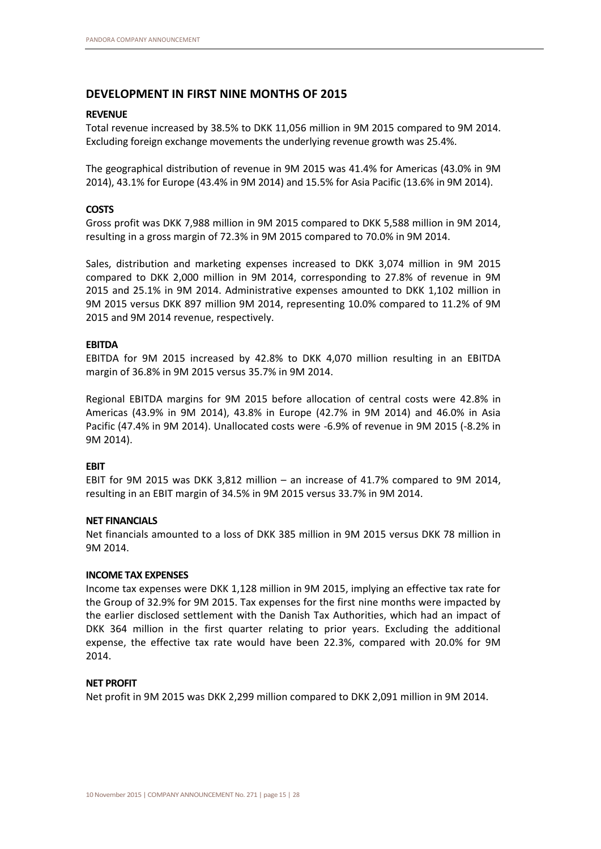# **DEVELOPMENT IN FIRST NINE MONTHS OF 2015**

# **REVENUE**

Total revenue increased by 38.5% to DKK 11,056 million in 9M 2015 compared to 9M 2014. Excluding foreign exchange movements the underlying revenue growth was 25.4%.

The geographical distribution of revenue in 9M 2015 was 41.4% for Americas (43.0% in 9M 2014), 43.1% for Europe (43.4% in 9M 2014) and 15.5% for Asia Pacific (13.6% in 9M 2014).

# **COSTS**

Gross profit was DKK 7,988 million in 9M 2015 compared to DKK 5,588 million in 9M 2014, resulting in a gross margin of 72.3% in 9M 2015 compared to 70.0% in 9M 2014.

Sales, distribution and marketing expenses increased to DKK 3,074 million in 9M 2015 compared to DKK 2,000 million in 9M 2014, corresponding to 27.8% of revenue in 9M 2015 and 25.1% in 9M 2014. Administrative expenses amounted to DKK 1,102 million in 9M 2015 versus DKK 897 million 9M 2014, representing 10.0% compared to 11.2% of 9M 2015 and 9M 2014 revenue, respectively.

### **EBITDA**

EBITDA for 9M 2015 increased by 42.8% to DKK 4,070 million resulting in an EBITDA margin of 36.8% in 9M 2015 versus 35.7% in 9M 2014.

Regional EBITDA margins for 9M 2015 before allocation of central costs were 42.8% in Americas (43.9% in 9M 2014), 43.8% in Europe (42.7% in 9M 2014) and 46.0% in Asia Pacific (47.4% in 9M 2014). Unallocated costs were -6.9% of revenue in 9M 2015 (-8.2% in 9M 2014).

# **EBIT**

EBIT for 9M 2015 was DKK 3,812 million – an increase of 41.7% compared to 9M 2014, resulting in an EBIT margin of 34.5% in 9M 2015 versus 33.7% in 9M 2014.

# **NET FINANCIALS**

Net financials amounted to a loss of DKK 385 million in 9M 2015 versus DKK 78 million in 9M 2014.

#### **INCOME TAX EXPENSES**

Income tax expenses were DKK 1,128 million in 9M 2015, implying an effective tax rate for the Group of 32.9% for 9M 2015. Tax expenses for the first nine months were impacted by the earlier disclosed settlement with the Danish Tax Authorities, which had an impact of DKK 364 million in the first quarter relating to prior years. Excluding the additional expense, the effective tax rate would have been 22.3%, compared with 20.0% for 9M 2014.

## **NET PROFIT**

Net profit in 9M 2015 was DKK 2,299 million compared to DKK 2,091 million in 9M 2014.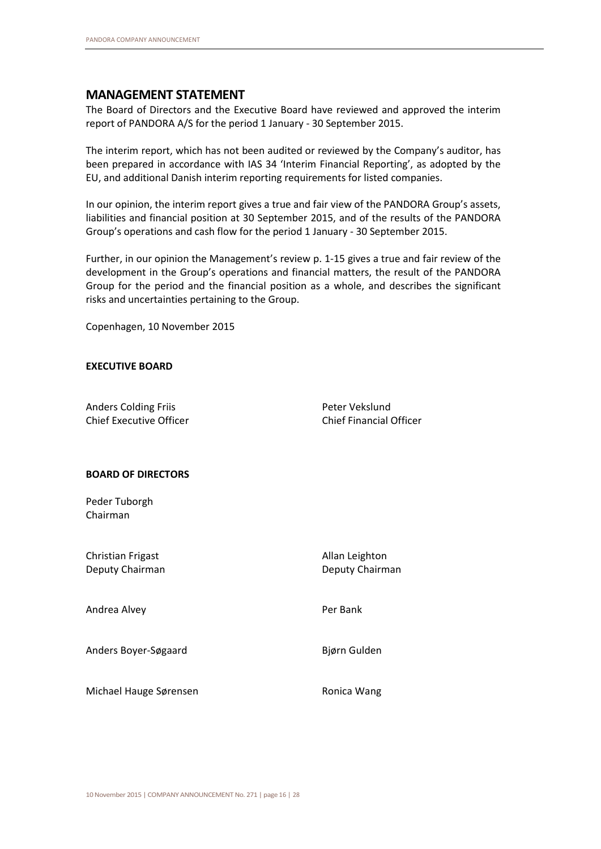# **MANAGEMENT STATEMENT**

The Board of Directors and the Executive Board have reviewed and approved the interim report of PANDORA A/S for the period 1 January - 30 September 2015.

The interim report, which has not been audited or reviewed by the Company's auditor, has been prepared in accordance with IAS 34 'Interim Financial Reporting', as adopted by the EU, and additional Danish interim reporting requirements for listed companies.

In our opinion, the interim report gives a true and fair view of the PANDORA Group's assets, liabilities and financial position at 30 September 2015, and of the results of the PANDORA Group's operations and cash flow for the period 1 January - 30 September 2015.

Further, in our opinion the Management's review p. 1-15 gives a true and fair review of the development in the Group's operations and financial matters, the result of the PANDORA Group for the period and the financial position as a whole, and describes the significant risks and uncertainties pertaining to the Group.

Copenhagen, 10 November 2015

# **EXECUTIVE BOARD**

Anders Colding Friis **Peter Vekslund** Chief Executive Officer Chief Financial Officer

# **BOARD OF DIRECTORS**

Peder Tuborgh Chairman

| Christian Frigast<br>Deputy Chairman | Allan Leighton<br>Deputy Chairman |
|--------------------------------------|-----------------------------------|
| Andrea Alvey                         | Per Bank                          |
| Anders Boyer-Søgaard                 | Bjørn Gulden                      |
| Michael Hauge Sørensen               | Ronica Wang                       |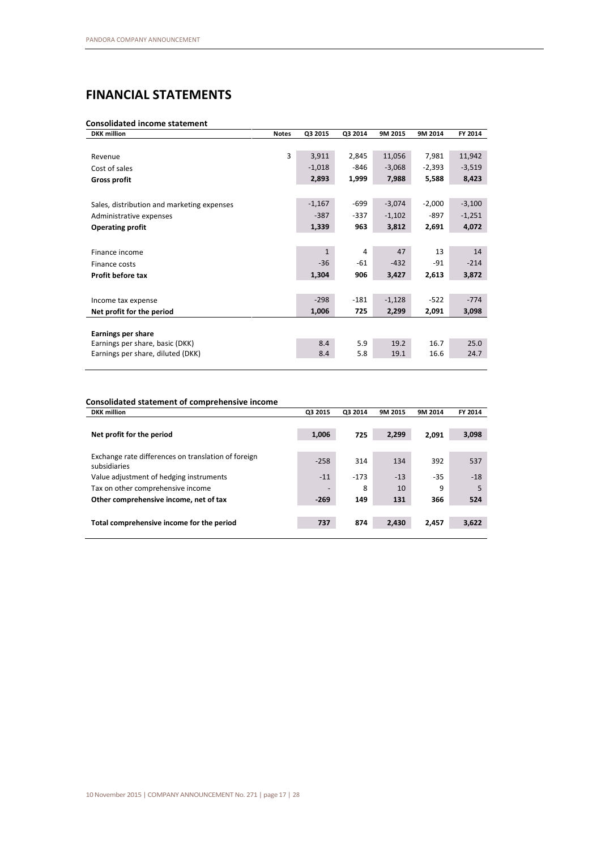# **FINANCIAL STATEMENTS**

## **Consolidated income statement**

| <b>DKK</b> million                         | <b>Notes</b> | Q3 2015      | Q3 2014 | 9M 2015  | 9M 2014  | FY 2014  |
|--------------------------------------------|--------------|--------------|---------|----------|----------|----------|
|                                            |              |              |         |          |          |          |
| Revenue                                    | 3            | 3,911        | 2,845   | 11,056   | 7,981    | 11,942   |
| Cost of sales                              |              | $-1,018$     | $-846$  | $-3,068$ | $-2,393$ | $-3,519$ |
| <b>Gross profit</b>                        |              | 2,893        | 1,999   | 7,988    | 5,588    | 8,423    |
|                                            |              |              |         |          |          |          |
| Sales, distribution and marketing expenses |              | $-1,167$     | $-699$  | $-3,074$ | $-2,000$ | $-3,100$ |
| Administrative expenses                    |              | $-387$       | $-337$  | $-1,102$ | $-897$   | $-1,251$ |
| <b>Operating profit</b>                    |              | 1,339        | 963     | 3,812    | 2,691    | 4,072    |
|                                            |              |              |         |          |          |          |
| Finance income                             |              | $\mathbf{1}$ | 4       | 47       | 13       | 14       |
| Finance costs                              |              | $-36$        | $-61$   | $-432$   | $-91$    | $-214$   |
| Profit before tax                          |              | 1,304        | 906     | 3,427    | 2,613    | 3,872    |
|                                            |              |              |         |          |          |          |
| Income tax expense                         |              | $-298$       | $-181$  | $-1,128$ | $-522$   | $-774$   |
| Net profit for the period                  |              | 1,006        | 725     | 2,299    | 2,091    | 3,098    |
|                                            |              |              |         |          |          |          |
| Earnings per share                         |              |              |         |          |          |          |
| Earnings per share, basic (DKK)            |              | 8.4          | 5.9     | 19.2     | 16.7     | 25.0     |
| Earnings per share, diluted (DKK)          |              | 8.4          | 5.8     | 19.1     | 16.6     | 24.7     |

## **Consolidated statement of comprehensive income**

| <b>DKK</b> million                                                  | Q3 2015 | Q3 2014 | 9M 2015 | 9M 2014 | FY 2014 |
|---------------------------------------------------------------------|---------|---------|---------|---------|---------|
|                                                                     |         |         |         |         |         |
| Net profit for the period                                           | 1,006   | 725     | 2,299   | 2,091   | 3,098   |
|                                                                     |         |         |         |         |         |
| Exchange rate differences on translation of foreign<br>subsidiaries | $-258$  | 314     | 134     | 392     | 537     |
| Value adjustment of hedging instruments                             | $-11$   | $-173$  | $-13$   | $-35$   | $-18$   |
| Tax on other comprehensive income                                   |         | 8       | 10      | 9       | 5       |
| Other comprehensive income, net of tax                              | $-269$  | 149     | 131     | 366     | 524     |
|                                                                     |         |         |         |         |         |
| Total comprehensive income for the period                           | 737     | 874     | 2,430   | 2,457   | 3,622   |
|                                                                     |         |         |         |         |         |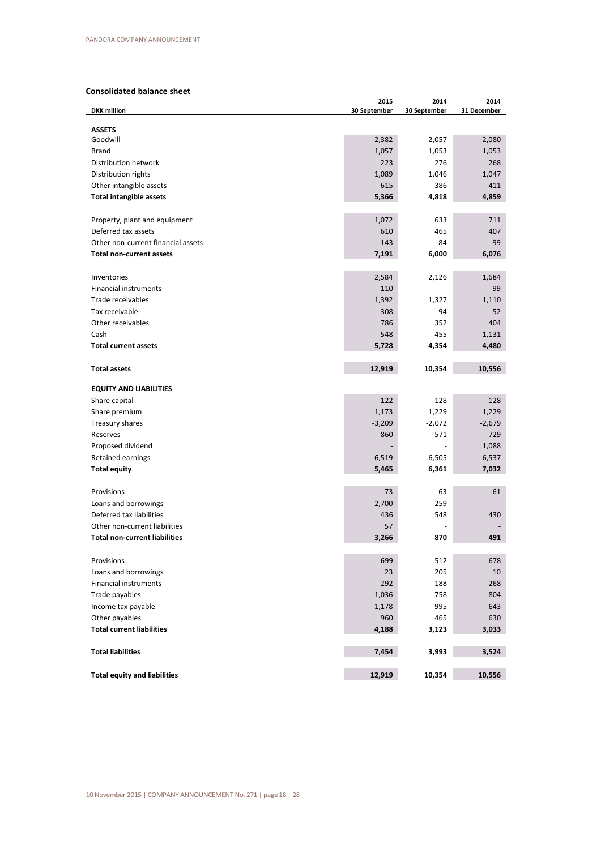# **Consolidated balance sheet**

| <b>ASSETS</b><br>Goodwill<br>2,382<br>2,057<br>2,080<br>1,057<br>1,053<br><b>Brand</b><br>1,053<br>223<br>Distribution network<br>276<br>268<br>Distribution rights<br>1,089<br>1,046<br>1,047<br>Other intangible assets<br>615<br>386<br>411<br>4,859<br><b>Total intangible assets</b><br>5,366<br>4,818<br>Property, plant and equipment<br>1,072<br>633<br>711<br>Deferred tax assets<br>610<br>465<br>407<br>Other non-current financial assets<br>143<br>84<br>99<br><b>Total non-current assets</b><br>7,191<br>6,000<br>6,076<br>2,584<br>2,126<br>Inventories<br>1,684<br>110<br>Financial instruments<br>99<br>1,392<br>Trade receivables<br>1,327<br>1,110<br>Tax receivable<br>308<br>94<br>52<br>786<br>404<br>Other receivables<br>352<br>Cash<br>548<br>455<br>1,131<br><b>Total current assets</b><br>5,728<br>4,354<br>4,480<br>12,919<br>10,354<br>10,556<br><b>Total assets</b><br><b>EQUITY AND LIABILITIES</b><br>122<br>128<br>128<br>Share capital<br>1,173<br>1,229<br>1,229<br>Share premium<br>$-3,209$<br>$-2,072$<br>$-2,679$<br>Treasury shares<br>571<br>729<br>860<br>Reserves<br>1,088<br>Proposed dividend<br>6,519<br>6,505<br>6,537<br>Retained earnings<br>7,032<br><b>Total equity</b><br>5,465<br>6,361<br>73<br>63<br>61<br>Provisions<br>Loans and borrowings<br>2,700<br>259<br>Deferred tax liabilities<br>436<br>548<br>430<br>Other non-current liabilities<br>57<br><b>Total non-current liabilities</b><br>870<br>491<br>3,266<br>699<br>512<br>Provisions<br>678<br>Loans and borrowings<br>23<br>205<br>10<br>292<br>Financial instruments<br>188<br>268<br>1,036<br>Trade payables<br>758<br>804<br>1,178<br>995<br>Income tax payable<br>643<br>Other payables<br>960<br>465<br>630<br><b>Total current liabilities</b><br>4,188<br>3,123<br>3,033<br>7,454<br>3,993<br><b>Total liabilities</b><br>3,524<br>12,919<br>10,354<br>10,556<br><b>Total equity and liabilities</b> | <b>DKK</b> million | 2015<br>30 September | 2014<br>30 September | 2014<br>31 December |
|-----------------------------------------------------------------------------------------------------------------------------------------------------------------------------------------------------------------------------------------------------------------------------------------------------------------------------------------------------------------------------------------------------------------------------------------------------------------------------------------------------------------------------------------------------------------------------------------------------------------------------------------------------------------------------------------------------------------------------------------------------------------------------------------------------------------------------------------------------------------------------------------------------------------------------------------------------------------------------------------------------------------------------------------------------------------------------------------------------------------------------------------------------------------------------------------------------------------------------------------------------------------------------------------------------------------------------------------------------------------------------------------------------------------------------------------------------------------------------------------------------------------------------------------------------------------------------------------------------------------------------------------------------------------------------------------------------------------------------------------------------------------------------------------------------------------------------------------------------------------------------------------------------------------------------------|--------------------|----------------------|----------------------|---------------------|
|                                                                                                                                                                                                                                                                                                                                                                                                                                                                                                                                                                                                                                                                                                                                                                                                                                                                                                                                                                                                                                                                                                                                                                                                                                                                                                                                                                                                                                                                                                                                                                                                                                                                                                                                                                                                                                                                                                                                   |                    |                      |                      |                     |
|                                                                                                                                                                                                                                                                                                                                                                                                                                                                                                                                                                                                                                                                                                                                                                                                                                                                                                                                                                                                                                                                                                                                                                                                                                                                                                                                                                                                                                                                                                                                                                                                                                                                                                                                                                                                                                                                                                                                   |                    |                      |                      |                     |
|                                                                                                                                                                                                                                                                                                                                                                                                                                                                                                                                                                                                                                                                                                                                                                                                                                                                                                                                                                                                                                                                                                                                                                                                                                                                                                                                                                                                                                                                                                                                                                                                                                                                                                                                                                                                                                                                                                                                   |                    |                      |                      |                     |
|                                                                                                                                                                                                                                                                                                                                                                                                                                                                                                                                                                                                                                                                                                                                                                                                                                                                                                                                                                                                                                                                                                                                                                                                                                                                                                                                                                                                                                                                                                                                                                                                                                                                                                                                                                                                                                                                                                                                   |                    |                      |                      |                     |
|                                                                                                                                                                                                                                                                                                                                                                                                                                                                                                                                                                                                                                                                                                                                                                                                                                                                                                                                                                                                                                                                                                                                                                                                                                                                                                                                                                                                                                                                                                                                                                                                                                                                                                                                                                                                                                                                                                                                   |                    |                      |                      |                     |
|                                                                                                                                                                                                                                                                                                                                                                                                                                                                                                                                                                                                                                                                                                                                                                                                                                                                                                                                                                                                                                                                                                                                                                                                                                                                                                                                                                                                                                                                                                                                                                                                                                                                                                                                                                                                                                                                                                                                   |                    |                      |                      |                     |
|                                                                                                                                                                                                                                                                                                                                                                                                                                                                                                                                                                                                                                                                                                                                                                                                                                                                                                                                                                                                                                                                                                                                                                                                                                                                                                                                                                                                                                                                                                                                                                                                                                                                                                                                                                                                                                                                                                                                   |                    |                      |                      |                     |
|                                                                                                                                                                                                                                                                                                                                                                                                                                                                                                                                                                                                                                                                                                                                                                                                                                                                                                                                                                                                                                                                                                                                                                                                                                                                                                                                                                                                                                                                                                                                                                                                                                                                                                                                                                                                                                                                                                                                   |                    |                      |                      |                     |
|                                                                                                                                                                                                                                                                                                                                                                                                                                                                                                                                                                                                                                                                                                                                                                                                                                                                                                                                                                                                                                                                                                                                                                                                                                                                                                                                                                                                                                                                                                                                                                                                                                                                                                                                                                                                                                                                                                                                   |                    |                      |                      |                     |
|                                                                                                                                                                                                                                                                                                                                                                                                                                                                                                                                                                                                                                                                                                                                                                                                                                                                                                                                                                                                                                                                                                                                                                                                                                                                                                                                                                                                                                                                                                                                                                                                                                                                                                                                                                                                                                                                                                                                   |                    |                      |                      |                     |
|                                                                                                                                                                                                                                                                                                                                                                                                                                                                                                                                                                                                                                                                                                                                                                                                                                                                                                                                                                                                                                                                                                                                                                                                                                                                                                                                                                                                                                                                                                                                                                                                                                                                                                                                                                                                                                                                                                                                   |                    |                      |                      |                     |
|                                                                                                                                                                                                                                                                                                                                                                                                                                                                                                                                                                                                                                                                                                                                                                                                                                                                                                                                                                                                                                                                                                                                                                                                                                                                                                                                                                                                                                                                                                                                                                                                                                                                                                                                                                                                                                                                                                                                   |                    |                      |                      |                     |
|                                                                                                                                                                                                                                                                                                                                                                                                                                                                                                                                                                                                                                                                                                                                                                                                                                                                                                                                                                                                                                                                                                                                                                                                                                                                                                                                                                                                                                                                                                                                                                                                                                                                                                                                                                                                                                                                                                                                   |                    |                      |                      |                     |
|                                                                                                                                                                                                                                                                                                                                                                                                                                                                                                                                                                                                                                                                                                                                                                                                                                                                                                                                                                                                                                                                                                                                                                                                                                                                                                                                                                                                                                                                                                                                                                                                                                                                                                                                                                                                                                                                                                                                   |                    |                      |                      |                     |
|                                                                                                                                                                                                                                                                                                                                                                                                                                                                                                                                                                                                                                                                                                                                                                                                                                                                                                                                                                                                                                                                                                                                                                                                                                                                                                                                                                                                                                                                                                                                                                                                                                                                                                                                                                                                                                                                                                                                   |                    |                      |                      |                     |
|                                                                                                                                                                                                                                                                                                                                                                                                                                                                                                                                                                                                                                                                                                                                                                                                                                                                                                                                                                                                                                                                                                                                                                                                                                                                                                                                                                                                                                                                                                                                                                                                                                                                                                                                                                                                                                                                                                                                   |                    |                      |                      |                     |
|                                                                                                                                                                                                                                                                                                                                                                                                                                                                                                                                                                                                                                                                                                                                                                                                                                                                                                                                                                                                                                                                                                                                                                                                                                                                                                                                                                                                                                                                                                                                                                                                                                                                                                                                                                                                                                                                                                                                   |                    |                      |                      |                     |
|                                                                                                                                                                                                                                                                                                                                                                                                                                                                                                                                                                                                                                                                                                                                                                                                                                                                                                                                                                                                                                                                                                                                                                                                                                                                                                                                                                                                                                                                                                                                                                                                                                                                                                                                                                                                                                                                                                                                   |                    |                      |                      |                     |
|                                                                                                                                                                                                                                                                                                                                                                                                                                                                                                                                                                                                                                                                                                                                                                                                                                                                                                                                                                                                                                                                                                                                                                                                                                                                                                                                                                                                                                                                                                                                                                                                                                                                                                                                                                                                                                                                                                                                   |                    |                      |                      |                     |
|                                                                                                                                                                                                                                                                                                                                                                                                                                                                                                                                                                                                                                                                                                                                                                                                                                                                                                                                                                                                                                                                                                                                                                                                                                                                                                                                                                                                                                                                                                                                                                                                                                                                                                                                                                                                                                                                                                                                   |                    |                      |                      |                     |
|                                                                                                                                                                                                                                                                                                                                                                                                                                                                                                                                                                                                                                                                                                                                                                                                                                                                                                                                                                                                                                                                                                                                                                                                                                                                                                                                                                                                                                                                                                                                                                                                                                                                                                                                                                                                                                                                                                                                   |                    |                      |                      |                     |
|                                                                                                                                                                                                                                                                                                                                                                                                                                                                                                                                                                                                                                                                                                                                                                                                                                                                                                                                                                                                                                                                                                                                                                                                                                                                                                                                                                                                                                                                                                                                                                                                                                                                                                                                                                                                                                                                                                                                   |                    |                      |                      |                     |
|                                                                                                                                                                                                                                                                                                                                                                                                                                                                                                                                                                                                                                                                                                                                                                                                                                                                                                                                                                                                                                                                                                                                                                                                                                                                                                                                                                                                                                                                                                                                                                                                                                                                                                                                                                                                                                                                                                                                   |                    |                      |                      |                     |
|                                                                                                                                                                                                                                                                                                                                                                                                                                                                                                                                                                                                                                                                                                                                                                                                                                                                                                                                                                                                                                                                                                                                                                                                                                                                                                                                                                                                                                                                                                                                                                                                                                                                                                                                                                                                                                                                                                                                   |                    |                      |                      |                     |
|                                                                                                                                                                                                                                                                                                                                                                                                                                                                                                                                                                                                                                                                                                                                                                                                                                                                                                                                                                                                                                                                                                                                                                                                                                                                                                                                                                                                                                                                                                                                                                                                                                                                                                                                                                                                                                                                                                                                   |                    |                      |                      |                     |
|                                                                                                                                                                                                                                                                                                                                                                                                                                                                                                                                                                                                                                                                                                                                                                                                                                                                                                                                                                                                                                                                                                                                                                                                                                                                                                                                                                                                                                                                                                                                                                                                                                                                                                                                                                                                                                                                                                                                   |                    |                      |                      |                     |
|                                                                                                                                                                                                                                                                                                                                                                                                                                                                                                                                                                                                                                                                                                                                                                                                                                                                                                                                                                                                                                                                                                                                                                                                                                                                                                                                                                                                                                                                                                                                                                                                                                                                                                                                                                                                                                                                                                                                   |                    |                      |                      |                     |
|                                                                                                                                                                                                                                                                                                                                                                                                                                                                                                                                                                                                                                                                                                                                                                                                                                                                                                                                                                                                                                                                                                                                                                                                                                                                                                                                                                                                                                                                                                                                                                                                                                                                                                                                                                                                                                                                                                                                   |                    |                      |                      |                     |
|                                                                                                                                                                                                                                                                                                                                                                                                                                                                                                                                                                                                                                                                                                                                                                                                                                                                                                                                                                                                                                                                                                                                                                                                                                                                                                                                                                                                                                                                                                                                                                                                                                                                                                                                                                                                                                                                                                                                   |                    |                      |                      |                     |
|                                                                                                                                                                                                                                                                                                                                                                                                                                                                                                                                                                                                                                                                                                                                                                                                                                                                                                                                                                                                                                                                                                                                                                                                                                                                                                                                                                                                                                                                                                                                                                                                                                                                                                                                                                                                                                                                                                                                   |                    |                      |                      |                     |
|                                                                                                                                                                                                                                                                                                                                                                                                                                                                                                                                                                                                                                                                                                                                                                                                                                                                                                                                                                                                                                                                                                                                                                                                                                                                                                                                                                                                                                                                                                                                                                                                                                                                                                                                                                                                                                                                                                                                   |                    |                      |                      |                     |
|                                                                                                                                                                                                                                                                                                                                                                                                                                                                                                                                                                                                                                                                                                                                                                                                                                                                                                                                                                                                                                                                                                                                                                                                                                                                                                                                                                                                                                                                                                                                                                                                                                                                                                                                                                                                                                                                                                                                   |                    |                      |                      |                     |
|                                                                                                                                                                                                                                                                                                                                                                                                                                                                                                                                                                                                                                                                                                                                                                                                                                                                                                                                                                                                                                                                                                                                                                                                                                                                                                                                                                                                                                                                                                                                                                                                                                                                                                                                                                                                                                                                                                                                   |                    |                      |                      |                     |
|                                                                                                                                                                                                                                                                                                                                                                                                                                                                                                                                                                                                                                                                                                                                                                                                                                                                                                                                                                                                                                                                                                                                                                                                                                                                                                                                                                                                                                                                                                                                                                                                                                                                                                                                                                                                                                                                                                                                   |                    |                      |                      |                     |
|                                                                                                                                                                                                                                                                                                                                                                                                                                                                                                                                                                                                                                                                                                                                                                                                                                                                                                                                                                                                                                                                                                                                                                                                                                                                                                                                                                                                                                                                                                                                                                                                                                                                                                                                                                                                                                                                                                                                   |                    |                      |                      |                     |
|                                                                                                                                                                                                                                                                                                                                                                                                                                                                                                                                                                                                                                                                                                                                                                                                                                                                                                                                                                                                                                                                                                                                                                                                                                                                                                                                                                                                                                                                                                                                                                                                                                                                                                                                                                                                                                                                                                                                   |                    |                      |                      |                     |
|                                                                                                                                                                                                                                                                                                                                                                                                                                                                                                                                                                                                                                                                                                                                                                                                                                                                                                                                                                                                                                                                                                                                                                                                                                                                                                                                                                                                                                                                                                                                                                                                                                                                                                                                                                                                                                                                                                                                   |                    |                      |                      |                     |
|                                                                                                                                                                                                                                                                                                                                                                                                                                                                                                                                                                                                                                                                                                                                                                                                                                                                                                                                                                                                                                                                                                                                                                                                                                                                                                                                                                                                                                                                                                                                                                                                                                                                                                                                                                                                                                                                                                                                   |                    |                      |                      |                     |
|                                                                                                                                                                                                                                                                                                                                                                                                                                                                                                                                                                                                                                                                                                                                                                                                                                                                                                                                                                                                                                                                                                                                                                                                                                                                                                                                                                                                                                                                                                                                                                                                                                                                                                                                                                                                                                                                                                                                   |                    |                      |                      |                     |
|                                                                                                                                                                                                                                                                                                                                                                                                                                                                                                                                                                                                                                                                                                                                                                                                                                                                                                                                                                                                                                                                                                                                                                                                                                                                                                                                                                                                                                                                                                                                                                                                                                                                                                                                                                                                                                                                                                                                   |                    |                      |                      |                     |
|                                                                                                                                                                                                                                                                                                                                                                                                                                                                                                                                                                                                                                                                                                                                                                                                                                                                                                                                                                                                                                                                                                                                                                                                                                                                                                                                                                                                                                                                                                                                                                                                                                                                                                                                                                                                                                                                                                                                   |                    |                      |                      |                     |
|                                                                                                                                                                                                                                                                                                                                                                                                                                                                                                                                                                                                                                                                                                                                                                                                                                                                                                                                                                                                                                                                                                                                                                                                                                                                                                                                                                                                                                                                                                                                                                                                                                                                                                                                                                                                                                                                                                                                   |                    |                      |                      |                     |
|                                                                                                                                                                                                                                                                                                                                                                                                                                                                                                                                                                                                                                                                                                                                                                                                                                                                                                                                                                                                                                                                                                                                                                                                                                                                                                                                                                                                                                                                                                                                                                                                                                                                                                                                                                                                                                                                                                                                   |                    |                      |                      |                     |
|                                                                                                                                                                                                                                                                                                                                                                                                                                                                                                                                                                                                                                                                                                                                                                                                                                                                                                                                                                                                                                                                                                                                                                                                                                                                                                                                                                                                                                                                                                                                                                                                                                                                                                                                                                                                                                                                                                                                   |                    |                      |                      |                     |
|                                                                                                                                                                                                                                                                                                                                                                                                                                                                                                                                                                                                                                                                                                                                                                                                                                                                                                                                                                                                                                                                                                                                                                                                                                                                                                                                                                                                                                                                                                                                                                                                                                                                                                                                                                                                                                                                                                                                   |                    |                      |                      |                     |
|                                                                                                                                                                                                                                                                                                                                                                                                                                                                                                                                                                                                                                                                                                                                                                                                                                                                                                                                                                                                                                                                                                                                                                                                                                                                                                                                                                                                                                                                                                                                                                                                                                                                                                                                                                                                                                                                                                                                   |                    |                      |                      |                     |
|                                                                                                                                                                                                                                                                                                                                                                                                                                                                                                                                                                                                                                                                                                                                                                                                                                                                                                                                                                                                                                                                                                                                                                                                                                                                                                                                                                                                                                                                                                                                                                                                                                                                                                                                                                                                                                                                                                                                   |                    |                      |                      |                     |
|                                                                                                                                                                                                                                                                                                                                                                                                                                                                                                                                                                                                                                                                                                                                                                                                                                                                                                                                                                                                                                                                                                                                                                                                                                                                                                                                                                                                                                                                                                                                                                                                                                                                                                                                                                                                                                                                                                                                   |                    |                      |                      |                     |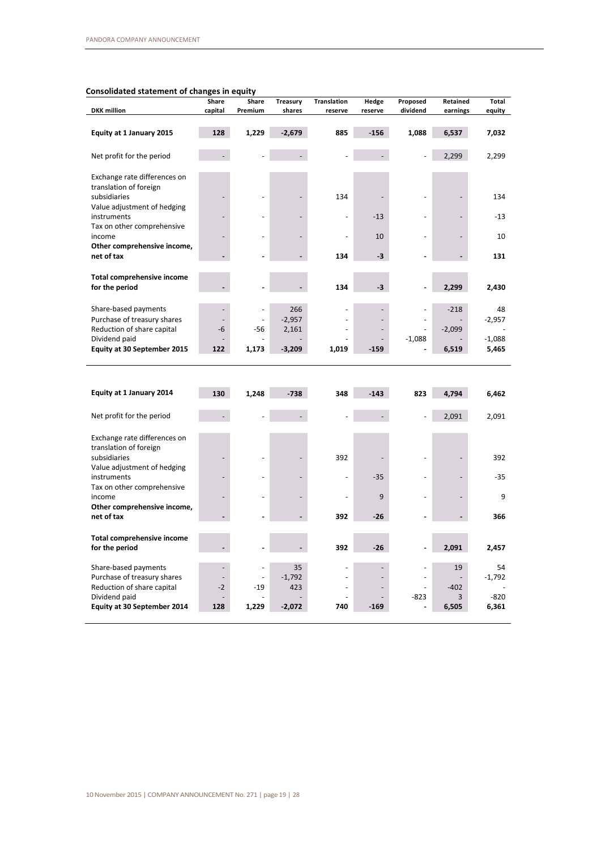## **Consolidated statement of changes in equity**

| <b>DKK</b> million                                                                                                                                                                    | Share<br>capital                 | Share<br>Premium | <b>Treasury</b><br>shares | <b>Translation</b><br>reserve | Hedge<br>reserve | Proposed<br>dividend | Retained<br>earnings | Total<br>equity   |
|---------------------------------------------------------------------------------------------------------------------------------------------------------------------------------------|----------------------------------|------------------|---------------------------|-------------------------------|------------------|----------------------|----------------------|-------------------|
| Equity at 1 January 2015                                                                                                                                                              | 128                              | 1,229            | $-2,679$                  | 885                           | $-156$           | 1,088                | 6,537                | 7,032             |
| Net profit for the period                                                                                                                                                             |                                  |                  |                           |                               |                  |                      | 2,299                | 2,299             |
| Exchange rate differences on                                                                                                                                                          |                                  |                  |                           |                               |                  |                      |                      |                   |
| translation of foreign<br>subsidiaries                                                                                                                                                |                                  |                  |                           | 134                           |                  |                      |                      | 134               |
| Value adjustment of hedging<br>instruments                                                                                                                                            |                                  |                  |                           |                               | $-13$            |                      |                      | $-13$             |
| Tax on other comprehensive<br>income                                                                                                                                                  |                                  |                  |                           |                               | 10               |                      |                      | 10                |
| Other comprehensive income,                                                                                                                                                           |                                  |                  |                           |                               |                  |                      |                      |                   |
| net of tax                                                                                                                                                                            |                                  |                  |                           | 134                           | $-3$             |                      |                      | 131               |
| Total comprehensive income<br>for the period                                                                                                                                          |                                  |                  |                           | 134                           | $-3$             |                      | 2,299                | 2,430             |
| Share-based payments                                                                                                                                                                  | $\overline{\phantom{a}}$         | ÷,               | 266                       |                               |                  |                      | $-218$               | 48                |
| Purchase of treasury shares                                                                                                                                                           | $\overline{\phantom{a}}$         |                  | $-2,957$                  |                               |                  |                      |                      | $-2,957$          |
| Reduction of share capital                                                                                                                                                            | -6                               | -56              | 2,161                     |                               |                  |                      | $-2,099$             |                   |
| Dividend paid<br><b>Equity at 30 September 2015</b>                                                                                                                                   | 122                              | 1,173            | $-3,209$                  | 1,019                         | $-159$           | $-1,088$             | 6,519                | $-1,088$<br>5,465 |
|                                                                                                                                                                                       |                                  |                  |                           |                               |                  |                      |                      |                   |
| Equity at 1 January 2014                                                                                                                                                              | 130                              | 1,248            | $-738$                    | 348                           | $-143$           | 823                  | 4,794                | 6,462             |
| Net profit for the period                                                                                                                                                             |                                  |                  |                           |                               |                  |                      | 2,091                |                   |
| Exchange rate differences on                                                                                                                                                          |                                  |                  |                           |                               |                  |                      |                      | 2,091             |
|                                                                                                                                                                                       |                                  |                  |                           |                               |                  |                      |                      |                   |
|                                                                                                                                                                                       |                                  |                  |                           | 392                           |                  |                      |                      |                   |
|                                                                                                                                                                                       |                                  |                  |                           |                               | $-35$            |                      |                      |                   |
| translation of foreign<br>subsidiaries<br>Value adjustment of hedging<br>instruments<br>Tax on other comprehensive<br>income                                                          |                                  |                  |                           |                               | 9                |                      |                      | 392<br>$-35$<br>9 |
|                                                                                                                                                                                       |                                  |                  |                           | 392                           | $-26$            |                      |                      |                   |
|                                                                                                                                                                                       |                                  |                  |                           | 392                           | $-26$            |                      | 2,091                | 366<br>2,457      |
|                                                                                                                                                                                       |                                  | L.               | 35                        |                               |                  |                      | 19                   |                   |
| Other comprehensive income,<br>net of tax<br><b>Total comprehensive income</b><br>for the period<br>Share-based payments<br>Purchase of treasury shares<br>Reduction of share capital | $\overline{\phantom{a}}$<br>$-2$ | ÷,<br>$-19$      | $-1,792$<br>423           |                               |                  | $\blacksquare$       | $-402$               | 54<br>$-1,792$    |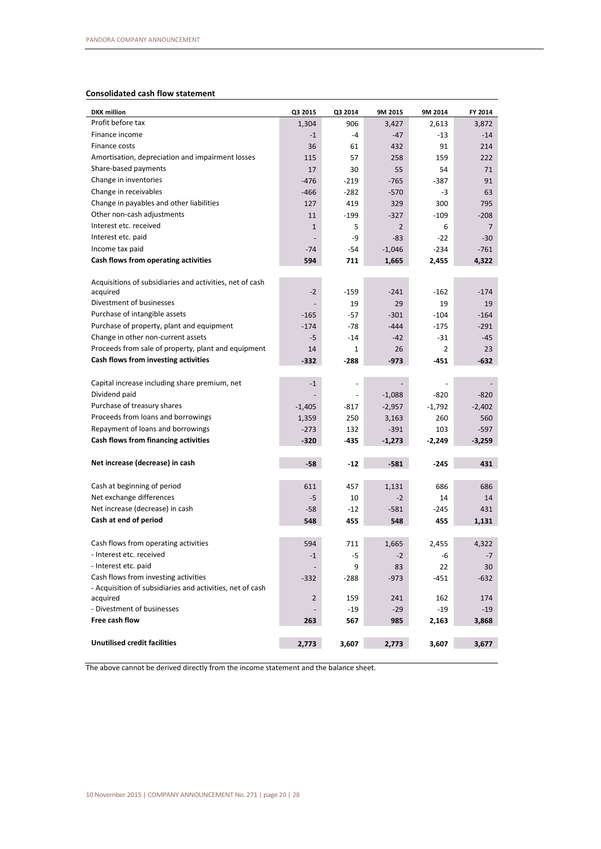# **Consolidated cash flow statement**

| <b>DKK</b> million                                        | Q3 2015   | Q3 2014                  | 9M 2015  | 9M 2014  | FY 2014        |
|-----------------------------------------------------------|-----------|--------------------------|----------|----------|----------------|
| Profit before tax                                         | 1,304     | 906                      | 3,427    | 2,613    | 3,872          |
| Finance income                                            | $-1$      | $-4$                     | $-47$    | -13      | $-14$          |
| Finance costs                                             | 36        | 61                       | 432      | 91       | 214            |
| Amortisation, depreciation and impairment losses          | 115       | 57                       | 258      | 159      | 222            |
| Share-based payments                                      | 17        | 30                       | 55       | 54       | 71             |
| Change in inventories                                     | $-476$    | $-219$                   | $-765$   | $-387$   | 91             |
| Change in receivables                                     | $-466$    | $-282$                   | $-570$   | -3       | 63             |
| Change in payables and other liabilities                  | 127       | 419                      | 329      | 300      | 795            |
| Other non-cash adjustments                                | 11        | $-199$                   | $-327$   | $-109$   | $-208$         |
| Interest etc. received                                    | $1\,$     | 5                        | 2        | 6        | $\overline{7}$ |
| Interest etc. paid                                        |           | -9                       | $-83$    | $-22$    | $-30$          |
| Income tax paid                                           | $-74$     | -54                      | $-1,046$ | $-234$   | $-761$         |
| Cash flows from operating activities                      | 594       | 711                      | 1,665    | 2,455    | 4,322          |
| Acquisitions of subsidiaries and activities, net of cash  |           |                          |          |          |                |
| acquired                                                  | $-2$      | $-159$                   | $-241$   | $-162$   | $-174$         |
| Divestment of businesses                                  |           | 19                       | 29       | 19       | 19             |
| Purchase of intangible assets                             | $-165$    | $-57$                    | $-301$   | $-104$   | $-164$         |
| Purchase of property, plant and equipment                 | $-174$    | $-78$                    | $-444$   | $-175$   | $-291$         |
| Change in other non-current assets                        | $-5$      | $-14$                    | $-42$    | $-31$    | -45            |
| Proceeds from sale of property, plant and equipment       | 14        | 1                        | 26       | 2        | 23             |
| Cash flows from investing activities                      | $-332$    | $-288$                   | $-973$   | -451     | $-632$         |
|                                                           |           |                          |          |          |                |
| Capital increase including share premium, net             | $-1$      |                          |          |          |                |
| Dividend paid                                             |           | $\overline{\phantom{a}}$ | $-1,088$ | $-820$   | $-820$         |
| Purchase of treasury shares                               | $-1,405$  | -817                     | $-2,957$ | $-1,792$ | $-2,402$       |
| Proceeds from loans and borrowings                        | 1,359     | 250                      | 3,163    | 260      | 560            |
| Repayment of loans and borrowings                         | $-273$    | 132                      | $-391$   | 103      | $-597$         |
| Cash flows from financing activities                      | $-320$    | -435                     | $-1,273$ | $-2,249$ | $-3,259$       |
| Net increase (decrease) in cash                           | $-58$     | $-12$                    | $-581$   | $-245$   | 431            |
|                                                           |           |                          |          |          |                |
| Cash at beginning of period                               | 611       | 457                      | 1,131    | 686      | 686            |
| Net exchange differences                                  | -5        | 10                       | $-2$     | 14       | 14             |
| Net increase (decrease) in cash                           | $-58$     | $-12$                    | $-581$   | $-245$   | 431            |
| Cash at end of period                                     | 548       | 455                      | 548      | 455      | 1,131          |
|                                                           |           |                          |          |          |                |
| Cash flows from operating activities                      | 594       | 711                      | 1,665    | 2,455    | 4,322          |
| - Interest etc. received                                  | $\cdot$ 1 | -5                       | $-2$     | -6       | $-7$           |
| - Interest etc. paid                                      |           | 9                        | 83       | 22       | 30             |
| Cash flows from investing activities                      | $-332$    | $-288$                   | $-973$   | $-451$   | $-632$         |
| - Acquisition of subsidiaries and activities, net of cash |           |                          |          |          |                |
| acquired<br>- Divestment of businesses                    | 2         | 159                      | 241      | 162      | 174            |
| Free cash flow                                            |           | $-19$                    | $-29$    | -19      | $-19$          |
|                                                           | 263       | 567                      | 985      | 2,163    | 3,868          |
| <b>Unutilised credit facilities</b>                       | 2,773     | 3,607                    | 2,773    | 3,607    | 3,677          |

The above cannot be derived directly from the income statement and the balance sheet.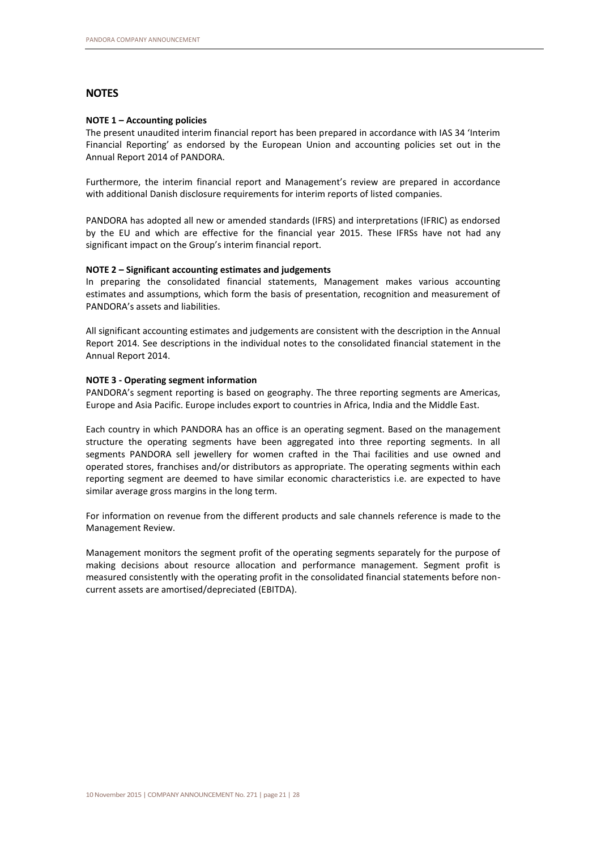# **NOTES**

#### **NOTE 1 – Accounting policies**

The present unaudited interim financial report has been prepared in accordance with IAS 34 'Interim Financial Reporting' as endorsed by the European Union and accounting policies set out in the Annual Report 2014 of PANDORA.

Furthermore, the interim financial report and Management's review are prepared in accordance with additional Danish disclosure requirements for interim reports of listed companies.

PANDORA has adopted all new or amended standards (IFRS) and interpretations (IFRIC) as endorsed by the EU and which are effective for the financial year 2015. These IFRSs have not had any significant impact on the Group's interim financial report.

#### **NOTE 2 – Significant accounting estimates and judgements**

In preparing the consolidated financial statements, Management makes various accounting estimates and assumptions, which form the basis of presentation, recognition and measurement of PANDORA's assets and liabilities.

All significant accounting estimates and judgements are consistent with the description in the Annual Report 2014. See descriptions in the individual notes to the consolidated financial statement in the Annual Report 2014.

#### **NOTE 3 - Operating segment information**

PANDORA's segment reporting is based on geography. The three reporting segments are Americas, Europe and Asia Pacific. Europe includes export to countries in Africa, India and the Middle East.

Each country in which PANDORA has an office is an operating segment. Based on the management structure the operating segments have been aggregated into three reporting segments. In all segments PANDORA sell jewellery for women crafted in the Thai facilities and use owned and operated stores, franchises and/or distributors as appropriate. The operating segments within each reporting segment are deemed to have similar economic characteristics i.e. are expected to have similar average gross margins in the long term.

For information on revenue from the different products and sale channels reference is made to the Management Review.

Management monitors the segment profit of the operating segments separately for the purpose of making decisions about resource allocation and performance management. Segment profit is measured consistently with the operating profit in the consolidated financial statements before noncurrent assets are amortised/depreciated (EBITDA).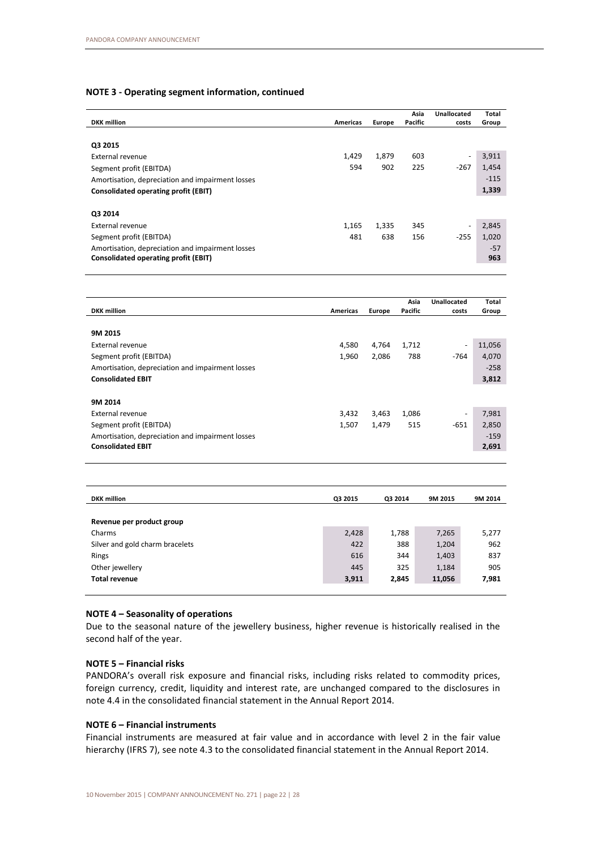#### **NOTE 3 - Operating segment information, continued**

| <b>DKK</b> million                               | Americas | Europe | Asia<br>Pacific | Unallocated<br>costs     | Total<br>Group |
|--------------------------------------------------|----------|--------|-----------------|--------------------------|----------------|
|                                                  |          |        |                 |                          |                |
| Q3 2015                                          |          |        |                 |                          |                |
| External revenue                                 | 1,429    | 1,879  | 603             | $\overline{\phantom{a}}$ | 3,911          |
| Segment profit (EBITDA)                          | 594      | 902    | 225             | $-267$                   | 1,454          |
| Amortisation, depreciation and impairment losses |          |        |                 |                          | $-115$         |
| Consolidated operating profit (EBIT)             |          |        |                 |                          | 1,339          |
|                                                  |          |        |                 |                          |                |
| Q3 2014                                          |          |        |                 |                          |                |
| External revenue                                 | 1,165    | 1,335  | 345             | $\overline{\phantom{a}}$ | 2,845          |
| Segment profit (EBITDA)                          | 481      | 638    | 156             | $-255$                   | 1,020          |
| Amortisation, depreciation and impairment losses |          |        |                 |                          | $-57$          |
| Consolidated operating profit (EBIT)             |          |        |                 |                          | 963            |

|                                                  |          |        | Asia    | <b>Unallocated</b>       | Total  |
|--------------------------------------------------|----------|--------|---------|--------------------------|--------|
| <b>DKK</b> million                               | Americas | Europe | Pacific | costs                    | Group  |
|                                                  |          |        |         |                          |        |
| 9M 2015                                          |          |        |         |                          |        |
| External revenue                                 | 4,580    | 4,764  | 1,712   | $\overline{\phantom{a}}$ | 11,056 |
| Segment profit (EBITDA)                          | 1,960    | 2,086  | 788     | $-764$                   | 4,070  |
| Amortisation, depreciation and impairment losses |          |        |         |                          | $-258$ |
| <b>Consolidated EBIT</b>                         |          |        |         |                          | 3,812  |
|                                                  |          |        |         |                          |        |
| 9M 2014                                          |          |        |         |                          |        |
| <b>External revenue</b>                          | 3,432    | 3,463  | 1,086   | $\overline{\phantom{a}}$ | 7,981  |
| Segment profit (EBITDA)                          | 1,507    | 1,479  | 515     | $-651$                   | 2,850  |
| Amortisation, depreciation and impairment losses |          |        |         |                          | $-159$ |
| <b>Consolidated EBIT</b>                         |          |        |         |                          | 2,691  |
|                                                  |          |        |         |                          |        |

| <b>DKK</b> million              | Q3 2015 | Q3 2014 | 9M 2015 | 9M 2014 |
|---------------------------------|---------|---------|---------|---------|
|                                 |         |         |         |         |
| Revenue per product group       |         |         |         |         |
| Charms                          | 2,428   | 1,788   | 7,265   | 5,277   |
| Silver and gold charm bracelets | 422     | 388     | 1,204   | 962     |
| Rings                           | 616     | 344     | 1,403   | 837     |
| Other jewellery                 | 445     | 325     | 1,184   | 905     |
| <b>Total revenue</b>            | 3,911   | 2,845   | 11,056  | 7,981   |
|                                 |         |         |         |         |

# **NOTE 4 – Seasonality of operations**

Due to the seasonal nature of the jewellery business, higher revenue is historically realised in the second half of the year.

#### **NOTE 5 – Financial risks**

PANDORA's overall risk exposure and financial risks, including risks related to commodity prices, foreign currency, credit, liquidity and interest rate, are unchanged compared to the disclosures in note 4.4 in the consolidated financial statement in the Annual Report 2014.

## **NOTE 6 – Financial instruments**

Financial instruments are measured at fair value and in accordance with level 2 in the fair value hierarchy (IFRS 7), see note 4.3 to the consolidated financial statement in the Annual Report 2014.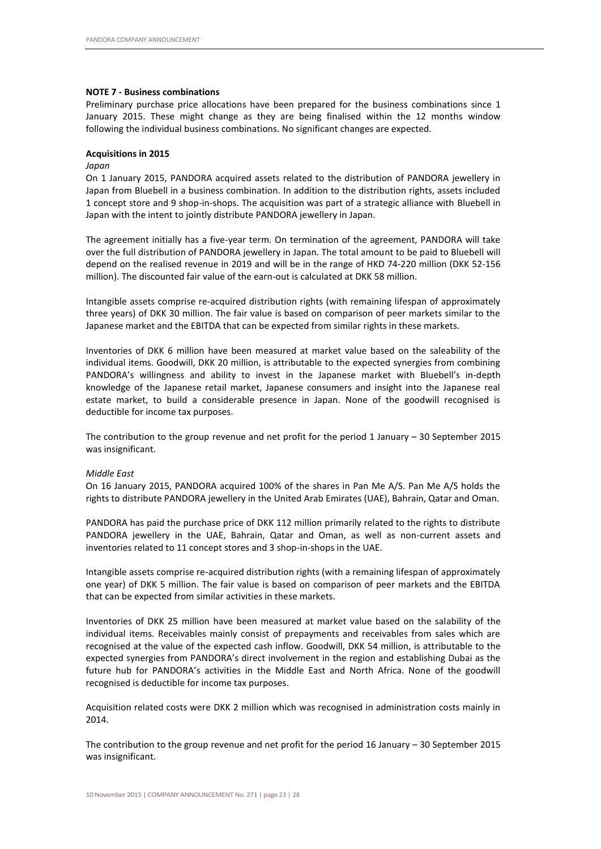#### **NOTE 7 - Business combinations**

Preliminary purchase price allocations have been prepared for the business combinations since 1 January 2015. These might change as they are being finalised within the 12 months window following the individual business combinations. No significant changes are expected.

#### **Acquisitions in 2015**

#### *Japan*

On 1 January 2015, PANDORA acquired assets related to the distribution of PANDORA jewellery in Japan from Bluebell in a business combination. In addition to the distribution rights, assets included 1 concept store and 9 shop-in-shops. The acquisition was part of a strategic alliance with Bluebell in Japan with the intent to jointly distribute PANDORA jewellery in Japan.

The agreement initially has a five-year term. On termination of the agreement, PANDORA will take over the full distribution of PANDORA jewellery in Japan. The total amount to be paid to Bluebell will depend on the realised revenue in 2019 and will be in the range of HKD 74-220 million (DKK 52-156 million). The discounted fair value of the earn-out is calculated at DKK 58 million.

Intangible assets comprise re-acquired distribution rights (with remaining lifespan of approximately three years) of DKK 30 million. The fair value is based on comparison of peer markets similar to the Japanese market and the EBITDA that can be expected from similar rights in these markets.

Inventories of DKK 6 million have been measured at market value based on the saleability of the individual items. Goodwill, DKK 20 million, is attributable to the expected synergies from combining PANDORA's willingness and ability to invest in the Japanese market with Bluebell's in-depth knowledge of the Japanese retail market, Japanese consumers and insight into the Japanese real estate market, to build a considerable presence in Japan. None of the goodwill recognised is deductible for income tax purposes.

The contribution to the group revenue and net profit for the period 1 January – 30 September 2015 was insignificant.

#### *Middle East*

On 16 January 2015, PANDORA acquired 100% of the shares in Pan Me A/S. Pan Me A/S holds the rights to distribute PANDORA jewellery in the United Arab Emirates (UAE), Bahrain, Qatar and Oman.

PANDORA has paid the purchase price of DKK 112 million primarily related to the rights to distribute PANDORA jewellery in the UAE, Bahrain, Qatar and Oman, as well as non-current assets and inventories related to 11 concept stores and 3 shop-in-shops in the UAE.

Intangible assets comprise re-acquired distribution rights (with a remaining lifespan of approximately one year) of DKK 5 million. The fair value is based on comparison of peer markets and the EBITDA that can be expected from similar activities in these markets.

Inventories of DKK 25 million have been measured at market value based on the salability of the individual items. Receivables mainly consist of prepayments and receivables from sales which are recognised at the value of the expected cash inflow. Goodwill, DKK 54 million, is attributable to the expected synergies from PANDORA's direct involvement in the region and establishing Dubai as the future hub for PANDORA's activities in the Middle East and North Africa. None of the goodwill recognised is deductible for income tax purposes.

Acquisition related costs were DKK 2 million which was recognised in administration costs mainly in 2014.

The contribution to the group revenue and net profit for the period 16 January – 30 September 2015 was insignificant.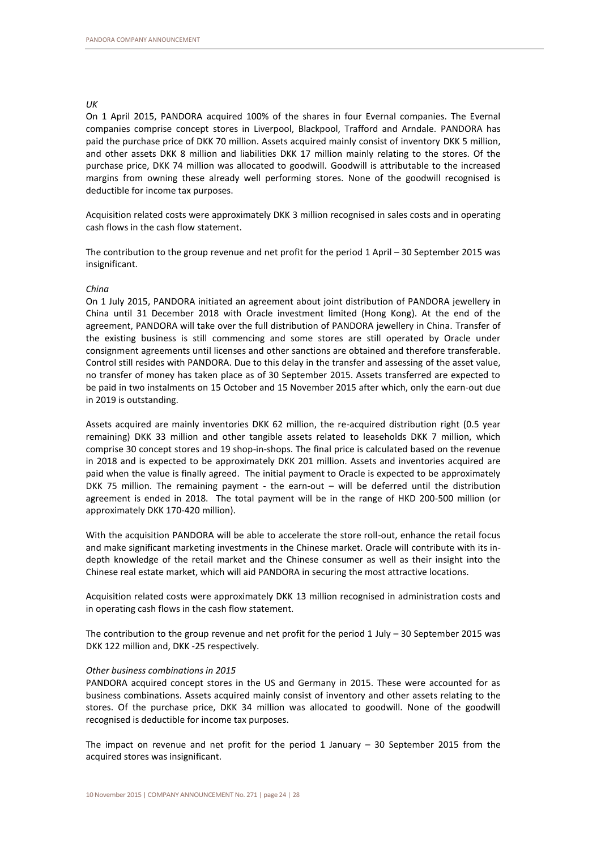#### *UK*

On 1 April 2015, PANDORA acquired 100% of the shares in four Evernal companies. The Evernal companies comprise concept stores in Liverpool, Blackpool, Trafford and Arndale. PANDORA has paid the purchase price of DKK 70 million. Assets acquired mainly consist of inventory DKK 5 million, and other assets DKK 8 million and liabilities DKK 17 million mainly relating to the stores. Of the purchase price, DKK 74 million was allocated to goodwill. Goodwill is attributable to the increased margins from owning these already well performing stores. None of the goodwill recognised is deductible for income tax purposes.

Acquisition related costs were approximately DKK 3 million recognised in sales costs and in operating cash flows in the cash flow statement.

The contribution to the group revenue and net profit for the period 1 April – 30 September 2015 was insignificant.

#### *China*

On 1 July 2015, PANDORA initiated an agreement about joint distribution of PANDORA jewellery in China until 31 December 2018 with Oracle investment limited (Hong Kong). At the end of the agreement, PANDORA will take over the full distribution of PANDORA jewellery in China. Transfer of the existing business is still commencing and some stores are still operated by Oracle under consignment agreements until licenses and other sanctions are obtained and therefore transferable. Control still resides with PANDORA. Due to this delay in the transfer and assessing of the asset value, no transfer of money has taken place as of 30 September 2015. Assets transferred are expected to be paid in two instalments on 15 October and 15 November 2015 after which, only the earn-out due in 2019 is outstanding.

Assets acquired are mainly inventories DKK 62 million, the re-acquired distribution right (0.5 year remaining) DKK 33 million and other tangible assets related to leaseholds DKK 7 million, which comprise 30 concept stores and 19 shop-in-shops. The final price is calculated based on the revenue in 2018 and is expected to be approximately DKK 201 million. Assets and inventories acquired are paid when the value is finally agreed. The initial payment to Oracle is expected to be approximately DKK 75 million. The remaining payment - the earn-out – will be deferred until the distribution agreement is ended in 2018. The total payment will be in the range of HKD 200-500 million (or approximately DKK 170-420 million).

With the acquisition PANDORA will be able to accelerate the store roll-out, enhance the retail focus and make significant marketing investments in the Chinese market. Oracle will contribute with its indepth knowledge of the retail market and the Chinese consumer as well as their insight into the Chinese real estate market, which will aid PANDORA in securing the most attractive locations.

Acquisition related costs were approximately DKK 13 million recognised in administration costs and in operating cash flows in the cash flow statement.

The contribution to the group revenue and net profit for the period 1 July – 30 September 2015 was DKK 122 million and, DKK -25 respectively.

#### *Other business combinations in 2015*

PANDORA acquired concept stores in the US and Germany in 2015. These were accounted for as business combinations. Assets acquired mainly consist of inventory and other assets relating to the stores. Of the purchase price, DKK 34 million was allocated to goodwill. None of the goodwill recognised is deductible for income tax purposes.

The impact on revenue and net profit for the period  $1$  January  $-$  30 September 2015 from the acquired stores was insignificant.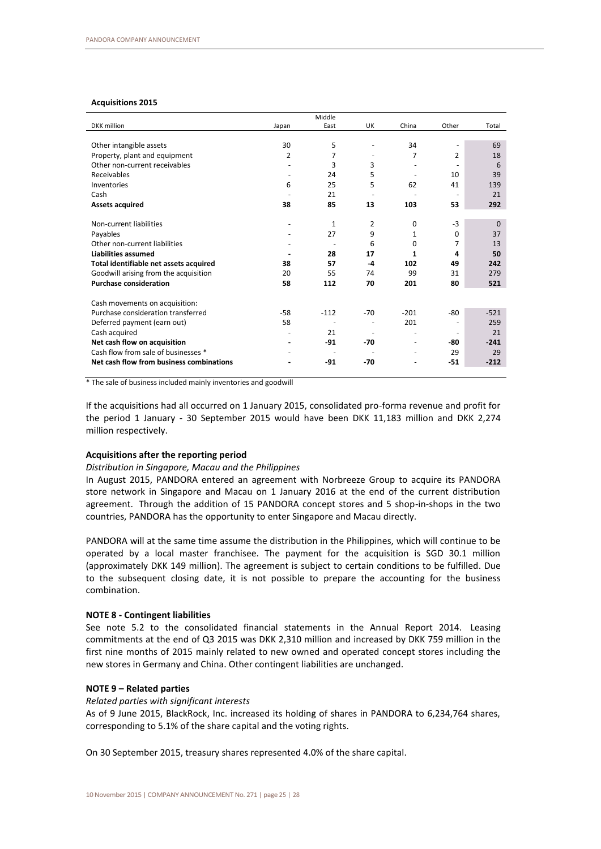#### **Acquisitions 2015**

|                                          |                | Middle                   |                          |                          |                          |          |
|------------------------------------------|----------------|--------------------------|--------------------------|--------------------------|--------------------------|----------|
| <b>DKK</b> million                       | Japan          | East                     | <b>UK</b>                | China                    | Other                    | Total    |
|                                          |                |                          |                          |                          |                          |          |
| Other intangible assets                  | 30             | 5                        |                          | 34                       | $\overline{\phantom{a}}$ | 69       |
| Property, plant and equipment            | $\overline{2}$ | 7                        |                          | 7                        | $\overline{2}$           | 18       |
| Other non-current receivables            |                | 3                        | 3                        |                          |                          | 6        |
| Receivables                              | ٠              | 24                       | 5                        | $\overline{\phantom{a}}$ | 10                       | 39       |
| Inventories                              | 6              | 25                       | 5                        | 62                       | 41                       | 139      |
| Cash                                     |                | 21                       |                          |                          | $\overline{\phantom{a}}$ | 21       |
| <b>Assets acquired</b>                   | 38             | 85                       | 13                       | 103                      | 53                       | 292      |
|                                          |                |                          |                          |                          |                          |          |
| Non-current liabilities                  |                | $\mathbf{1}$             | 2                        | 0                        | $-3$                     | $\Omega$ |
| Payables                                 |                | 27                       | 9                        | 1                        | $\Omega$                 | 37       |
| Other non-current liabilities            |                |                          | 6                        | 0                        | 7                        | 13       |
| <b>Liabilities assumed</b>               |                | 28                       | 17                       | 1                        | 4                        | 50       |
| Total identifiable net assets acquired   | 38             | 57                       | -4                       | 102                      | 49                       | 242      |
| Goodwill arising from the acquisition    | 20             | 55                       | 74                       | 99                       | 31                       | 279      |
| <b>Purchase consideration</b>            | 58             | 112                      | 70                       | 201                      | 80                       | 521      |
|                                          |                |                          |                          |                          |                          |          |
| Cash movements on acquisition:           |                |                          |                          |                          |                          |          |
| Purchase consideration transferred       | $-58$          | $-112$                   | $-70$                    | $-201$                   | -80                      | $-521$   |
| Deferred payment (earn out)              | 58             | $\overline{\phantom{a}}$ | $\overline{\phantom{a}}$ | 201                      | $\overline{\phantom{a}}$ | 259      |
| Cash acquired                            |                | 21                       |                          |                          |                          | 21       |
| Net cash flow on acquisition             |                | $-91$                    | $-70$                    |                          | -80                      | $-241$   |
| Cash flow from sale of businesses *      |                |                          |                          | $\overline{\phantom{a}}$ | 29                       | 29       |
| Net cash flow from business combinations |                | $-91$                    | $-70$                    |                          | $-51$                    | $-212$   |
|                                          |                |                          |                          |                          |                          |          |

\* The sale of business included mainly inventories and goodwill

If the acquisitions had all occurred on 1 January 2015, consolidated pro-forma revenue and profit for the period 1 January - 30 September 2015 would have been DKK 11,183 million and DKK 2,274 million respectively.

#### **Acquisitions after the reporting period**

#### *Distribution in Singapore, Macau and the Philippines*

In August 2015, PANDORA entered an agreement with Norbreeze Group to acquire its PANDORA store network in Singapore and Macau on 1 January 2016 at the end of the current distribution agreement. Through the addition of 15 PANDORA concept stores and 5 shop-in-shops in the two countries, PANDORA has the opportunity to enter Singapore and Macau directly.

PANDORA will at the same time assume the distribution in the Philippines, which will continue to be operated by a local master franchisee. The payment for the acquisition is SGD 30.1 million (approximately DKK 149 million). The agreement is subject to certain conditions to be fulfilled. Due to the subsequent closing date, it is not possible to prepare the accounting for the business combination.

#### **NOTE 8 - Contingent liabilities**

See note 5.2 to the consolidated financial statements in the Annual Report 2014. Leasing commitments at the end of Q3 2015 was DKK 2,310 million and increased by DKK 759 million in the first nine months of 2015 mainly related to new owned and operated concept stores including the new stores in Germany and China. Other contingent liabilities are unchanged.

#### **NOTE 9 – Related parties**

*Related parties with significant interests*

As of 9 June 2015, BlackRock, Inc. increased its holding of shares in PANDORA to 6,234,764 shares, corresponding to 5.1% of the share capital and the voting rights.

On 30 September 2015, treasury shares represented 4.0% of the share capital.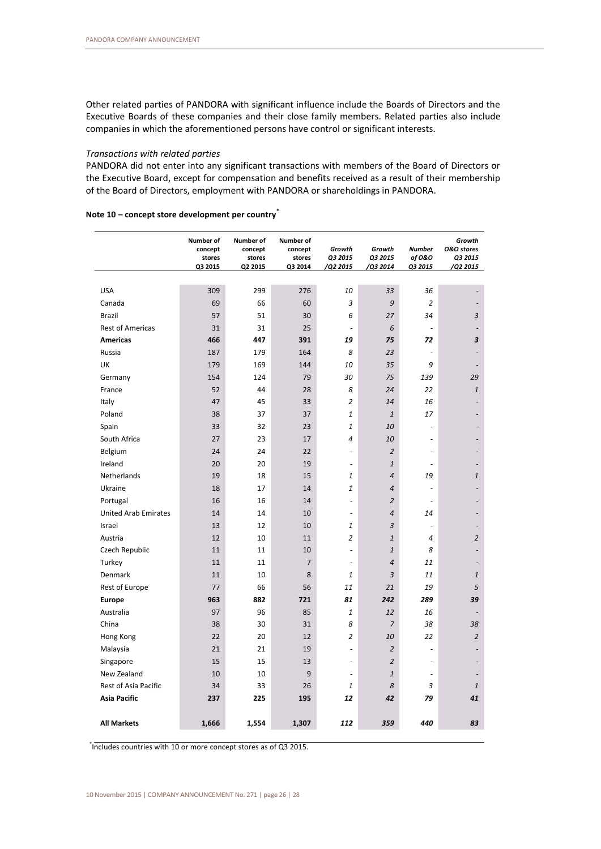Other related parties of PANDORA with significant influence include the Boards of Directors and the Executive Boards of these companies and their close family members. Related parties also include companies in which the aforementioned persons have control or significant interests.

#### *Transactions with related parties*

PANDORA did not enter into any significant transactions with members of the Board of Directors or the Executive Board, except for compensation and benefits received as a result of their membership of the Board of Directors, employment with PANDORA or shareholdings in PANDORA.

|                             | Number of<br>concept<br>stores<br>Q3 2015 | Number of<br>concept<br>stores<br>Q2 2015 | Number of<br>concept<br>stores<br>Q3 2014 | Growth<br>Q3 2015<br>/Q2 2015 | Growth<br>Q3 2015<br>/Q3 2014 | <b>Number</b><br>of 0&0<br>Q3 2015 | Growth<br><b>0&amp;0</b> stores<br>Q3 2015<br>/Q2 2015 |
|-----------------------------|-------------------------------------------|-------------------------------------------|-------------------------------------------|-------------------------------|-------------------------------|------------------------------------|--------------------------------------------------------|
|                             |                                           |                                           |                                           |                               |                               |                                    |                                                        |
| <b>USA</b>                  | 309                                       | 299                                       | 276                                       | 10                            | 33                            | 36                                 |                                                        |
| Canada                      | 69                                        | 66                                        | 60                                        | 3                             | 9                             | $\overline{2}$                     | $\overline{\phantom{a}}$                               |
| <b>Brazil</b>               | 57                                        | 51                                        | 30                                        | 6                             | 27                            | 34                                 | 3                                                      |
| <b>Rest of Americas</b>     | 31                                        | 31                                        | 25                                        | $\overline{a}$                | 6                             | $\overline{a}$                     | $\overline{\phantom{a}}$                               |
| <b>Americas</b>             | 466                                       | 447                                       | 391                                       | 19                            | 75                            | 72                                 | 3                                                      |
| Russia                      | 187                                       | 179                                       | 164                                       | 8                             | 23                            | $\overline{a}$                     |                                                        |
| UK                          | 179                                       | 169                                       | 144                                       | 10                            | 35                            | 9                                  |                                                        |
| Germany                     | 154                                       | 124                                       | 79                                        | 30                            | 75                            | 139                                | 29                                                     |
| France                      | 52                                        | 44                                        | 28                                        | 8                             | 24                            | 22                                 | $\ensuremath{\mathbf{1}}$                              |
| Italy                       | 47                                        | 45                                        | 33                                        | $\overline{2}$                | 14                            | 16                                 |                                                        |
| Poland                      | 38                                        | 37                                        | 37                                        | 1                             | $\mathbf{1}$                  | 17                                 |                                                        |
| Spain                       | 33                                        | 32                                        | 23                                        | $\mathbf{1}$                  | 10                            | $\overline{a}$                     |                                                        |
| South Africa                | 27                                        | 23                                        | 17                                        | $\overline{4}$                | 10                            | $\overline{a}$                     |                                                        |
| Belgium                     | 24                                        | 24                                        | 22                                        | $\overline{\phantom{a}}$      | $\overline{c}$                |                                    |                                                        |
| Ireland                     | 20                                        | 20                                        | 19                                        | $\overline{\phantom{a}}$      | $\mathbf{1}$                  |                                    |                                                        |
| <b>Netherlands</b>          | 19                                        | 18                                        | 15                                        | $\mathbf{1}$                  | $\overline{4}$                | 19                                 | $\mathbf{1}$                                           |
| Ukraine                     | 18                                        | 17                                        | 14                                        | 1                             | $\overline{4}$                | ÷,                                 |                                                        |
| Portugal                    | 16                                        | 16                                        | 14                                        | $\overline{a}$                | $\overline{2}$                | $\overline{a}$                     |                                                        |
| <b>United Arab Emirates</b> | 14                                        | 14                                        | 10                                        | $\overline{\phantom{a}}$      | $\overline{4}$                | 14                                 |                                                        |
| Israel                      | 13                                        | 12                                        | 10                                        | 1                             | 3                             | $\overline{\phantom{a}}$           |                                                        |
| Austria                     | 12                                        | 10                                        | 11                                        | $\overline{2}$                | $\mathbf{1}$                  | 4                                  | $\overline{c}$                                         |
| Czech Republic              | 11                                        | 11                                        | 10                                        | ÷,                            | $\mathbf{1}$                  | 8                                  |                                                        |
| Turkey                      | 11                                        | 11                                        | $\overline{7}$                            | $\overline{\phantom{a}}$      | $\overline{4}$                | 11                                 | $\overline{a}$                                         |
| Denmark                     | 11                                        | 10                                        | 8                                         | $\mathbf{1}$                  | 3                             | 11                                 | $\mathbf{1}$                                           |
| Rest of Europe              | 77                                        | 66                                        | 56                                        | 11                            | 21                            | 19                                 | 5                                                      |
| <b>Europe</b>               | 963                                       | 882                                       | 721                                       | 81                            | 242                           | 289                                | 39                                                     |
| Australia                   | 97                                        | 96                                        | 85                                        | $\mathbf{1}$                  | 12                            | 16                                 |                                                        |
| China                       | 38                                        | 30                                        | 31                                        | 8                             | $\overline{7}$                | 38                                 | 38                                                     |
| Hong Kong                   | 22                                        | 20                                        | 12                                        | $\overline{2}$                | 10                            | 22                                 | $\overline{c}$                                         |
| Malaysia                    | 21                                        | 21                                        | 19                                        | ÷,                            | $\overline{2}$                | ÷,                                 |                                                        |
| Singapore                   | 15                                        | 15                                        | 13                                        | $\overline{a}$                | $\overline{2}$                | $\overline{a}$                     |                                                        |
| New Zealand                 | 10                                        | 10                                        | 9                                         | $\overline{\phantom{a}}$      | $\mathbf{1}% _{T}$            | $\overline{a}$                     |                                                        |
| <b>Rest of Asia Pacific</b> | 34                                        | 33                                        | 26                                        | $\mathbf{1}$                  | 8                             | 3                                  | $\mathbf{1}$                                           |
| <b>Asia Pacific</b>         | 237                                       | 225                                       | 195                                       | 12                            | 42                            | 79                                 | 41                                                     |
| <b>All Markets</b>          | 1,666                                     | 1,554                                     | 1,307                                     | 112                           | 359                           | 440                                | 83                                                     |

## **Note 10 – concept store development per country\***

\* Includes countries with 10 or more concept stores as of Q3 2015.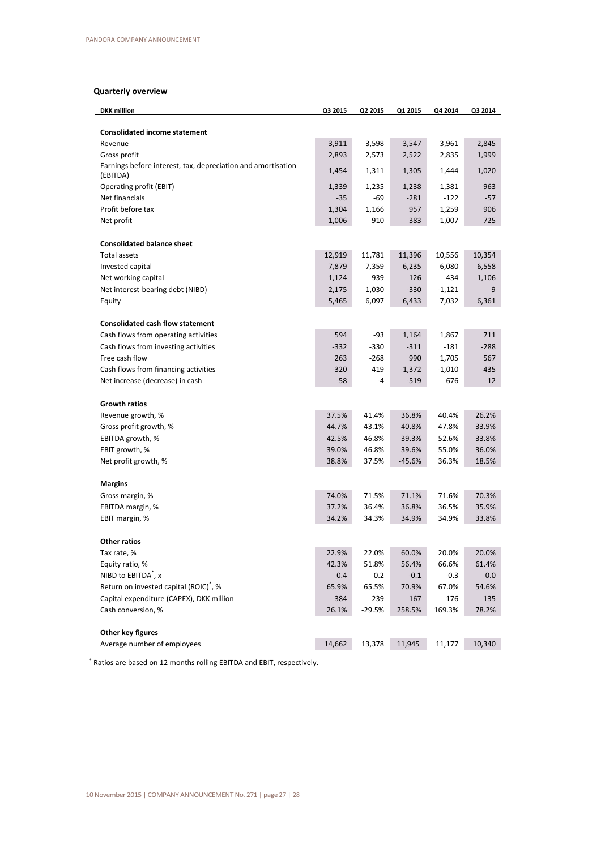# **Quarterly overview**

| <b>DKK</b> million                                                       | Q3 2015        | Q2 2015  | Q1 2015        | Q4 2014  | Q3 2014 |
|--------------------------------------------------------------------------|----------------|----------|----------------|----------|---------|
| <b>Consolidated income statement</b>                                     |                |          |                |          |         |
| Revenue                                                                  | 3,911          | 3,598    | 3,547          | 3,961    | 2,845   |
| Gross profit                                                             | 2,893          | 2,573    | 2,522          | 2,835    | 1,999   |
| Earnings before interest, tax, depreciation and amortisation<br>(EBITDA) | 1,454          | 1,311    | 1,305          | 1,444    | 1,020   |
| Operating profit (EBIT)                                                  | 1,339          | 1,235    | 1,238          | 1,381    | 963     |
| Net financials                                                           | -35            | -69      | $-281$         | $-122$   | $-57$   |
| Profit before tax                                                        | 1,304          | 1,166    | 957            | 1,259    | 906     |
| Net profit                                                               | 1,006          | 910      | 383            | 1,007    | 725     |
| <b>Consolidated balance sheet</b>                                        |                |          |                |          |         |
| Total assets                                                             | 12,919         | 11,781   | 11,396         | 10,556   | 10,354  |
| Invested capital                                                         | 7,879          | 7,359    | 6,235          | 6,080    | 6,558   |
| Net working capital                                                      | 1,124          | 939      | 126            | 434      | 1,106   |
| Net interest-bearing debt (NIBD)                                         | 2,175          | 1,030    | $-330$         | -1,121   | 9       |
| Equity                                                                   | 5,465          | 6,097    | 6,433          | 7,032    | 6,361   |
|                                                                          |                |          |                |          |         |
| <b>Consolidated cash flow statement</b>                                  |                |          |                |          |         |
| Cash flows from operating activities                                     | 594            | -93      | 1,164          | 1,867    | 711     |
| Cash flows from investing activities                                     | $-332$         | $-330$   | $-311$         | $-181$   | $-288$  |
| Free cash flow                                                           | 263            | -268     | 990            | 1,705    | 567     |
| Cash flows from financing activities                                     | $-320$         | 419      | $-1,372$       | $-1,010$ | $-435$  |
| Net increase (decrease) in cash                                          | $-58$          | -4       | $-519$         | 676      | $-12$   |
|                                                                          |                |          |                |          |         |
| <b>Growth ratios</b>                                                     |                | 41.4%    |                | 40.4%    | 26.2%   |
| Revenue growth, %<br>Gross profit growth, %                              | 37.5%<br>44.7% | 43.1%    | 36.8%<br>40.8% | 47.8%    | 33.9%   |
| EBITDA growth, %                                                         | 42.5%          | 46.8%    | 39.3%          | 52.6%    | 33.8%   |
| EBIT growth, %                                                           | 39.0%          | 46.8%    | 39.6%          | 55.0%    | 36.0%   |
| Net profit growth, %                                                     | 38.8%          | 37.5%    | $-45.6%$       | 36.3%    | 18.5%   |
|                                                                          |                |          |                |          |         |
| <b>Margins</b>                                                           |                |          |                |          |         |
| Gross margin, %                                                          | 74.0%          | 71.5%    | 71.1%          | 71.6%    | 70.3%   |
| EBITDA margin, %                                                         | 37.2%          | 36.4%    | 36.8%          | 36.5%    | 35.9%   |
| EBIT margin, %                                                           | 34.2%          | 34.3%    | 34.9%          | 34.9%    | 33.8%   |
| <b>Other ratios</b>                                                      |                |          |                |          |         |
| Tax rate, %                                                              | 22.9%          | 22.0%    | 60.0%          | 20.0%    | 20.0%   |
| Equity ratio, %                                                          | 42.3%          | 51.8%    | 56.4%          | 66.6%    | 61.4%   |
| NIBD to EBITDA <sup>*</sup> , x                                          | 0.4            | 0.2      | $-0.1$         | $-0.3$   | 0.0     |
| Return on invested capital (ROIC) <sup>*</sup> , %                       | 65.9%          | 65.5%    | 70.9%          | 67.0%    | 54.6%   |
| Capital expenditure (CAPEX), DKK million                                 | 384            | 239      | 167            | 176      | 135     |
| Cash conversion, %                                                       | 26.1%          | $-29.5%$ | 258.5%         | 169.3%   | 78.2%   |
| Other key figures                                                        |                |          |                |          |         |
| Average number of employees                                              | 14,662         | 13,378   | 11,945         | 11,177   | 10,340  |

\* Ratios are based on 12 months rolling EBITDA and EBIT, respectively.